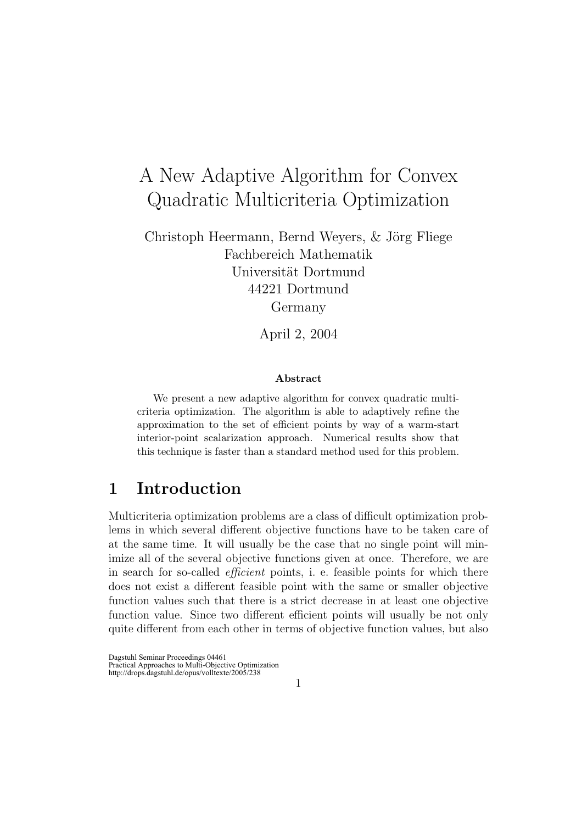# A New Adaptive Algorithm for Convex Quadratic Multicriteria Optimization

Christoph Heermann, Bernd Weyers,  $&$  Jörg Fliege Fachbereich Mathematik Universität Dortmund 44221 Dortmund Germany

April 2, 2004

#### Abstract

We present a new adaptive algorithm for convex quadratic multicriteria optimization. The algorithm is able to adaptively refine the approximation to the set of efficient points by way of a warm-start interior-point scalarization approach. Numerical results show that this technique is faster than a standard method used for this problem.

### 1 Introduction

Multicriteria optimization problems are a class of difficult optimization problems in which several different objective functions have to be taken care of at the same time. It will usually be the case that no single point will minimize all of the several objective functions given at once. Therefore, we are in search for so-called efficient points, i. e. feasible points for which there does not exist a different feasible point with the same or smaller objective function values such that there is a strict decrease in at least one objective function value. Since two different efficient points will usually be not only quite different from each other in terms of objective function values, but also

Dagstuhl Seminar Proceedings 04461 Practical Approaches to Multi-Objective Optimization http://drops.dagstuhl.de/opus/volltexte/2005/238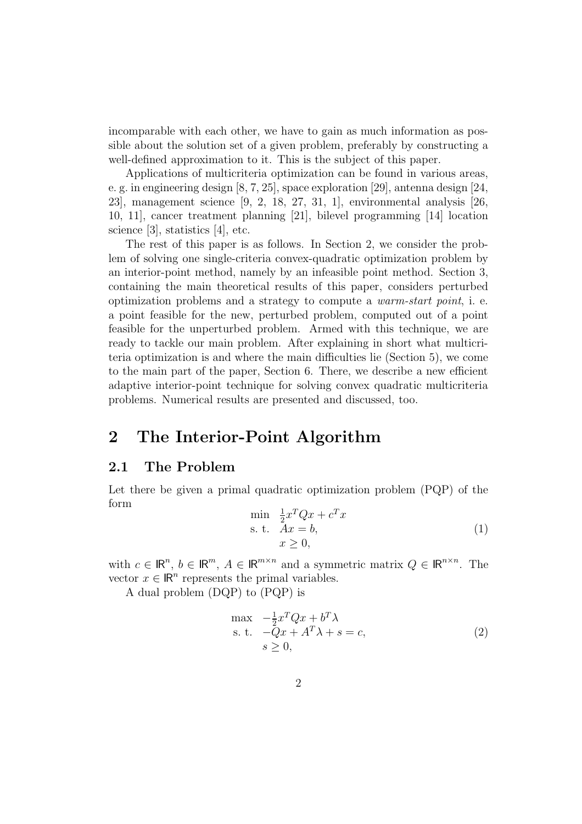incomparable with each other, we have to gain as much information as possible about the solution set of a given problem, preferably by constructing a well-defined approximation to it. This is the subject of this paper.

Applications of multicriteria optimization can be found in various areas, e. g. in engineering design [8, 7, 25], space exploration [29], antenna design [24, 23], management science [9, 2, 18, 27, 31, 1], environmental analysis [26, 10, 11], cancer treatment planning [21], bilevel programming [14] location science [3], statistics [4], etc.

The rest of this paper is as follows. In Section 2, we consider the problem of solving one single-criteria convex-quadratic optimization problem by an interior-point method, namely by an infeasible point method. Section 3, containing the main theoretical results of this paper, considers perturbed optimization problems and a strategy to compute a warm-start point, i. e. a point feasible for the new, perturbed problem, computed out of a point feasible for the unperturbed problem. Armed with this technique, we are ready to tackle our main problem. After explaining in short what multicriteria optimization is and where the main difficulties lie (Section 5), we come to the main part of the paper, Section 6. There, we describe a new efficient adaptive interior-point technique for solving convex quadratic multicriteria problems. Numerical results are presented and discussed, too.

## 2 The Interior-Point Algorithm

#### 2.1 The Problem

Let there be given a primal quadratic optimization problem (PQP) of the form

$$
\min_{\begin{array}{l}\n\text{min} \quad \frac{1}{2}x^T Q x + c^T x \\
\text{s. t.} \quad Ax = b, \\
x \ge 0,\n\end{array} \tag{1}
$$

with  $c \in \mathbb{R}^n$ ,  $b \in \mathbb{R}^m$ ,  $A \in \mathbb{R}^{m \times n}$  and a symmetric matrix  $Q \in \mathbb{R}^{n \times n}$ . The vector  $x \in \mathbb{R}^n$  represents the primal variables.

A dual problem (DQP) to (PQP) is

$$
\begin{array}{ll}\n\max & -\frac{1}{2}x^T Q x + b^T \lambda \\
\text{s. t.} & -Qx + A^T \lambda + s = c, \\
s \ge 0,\n\end{array} \tag{2}
$$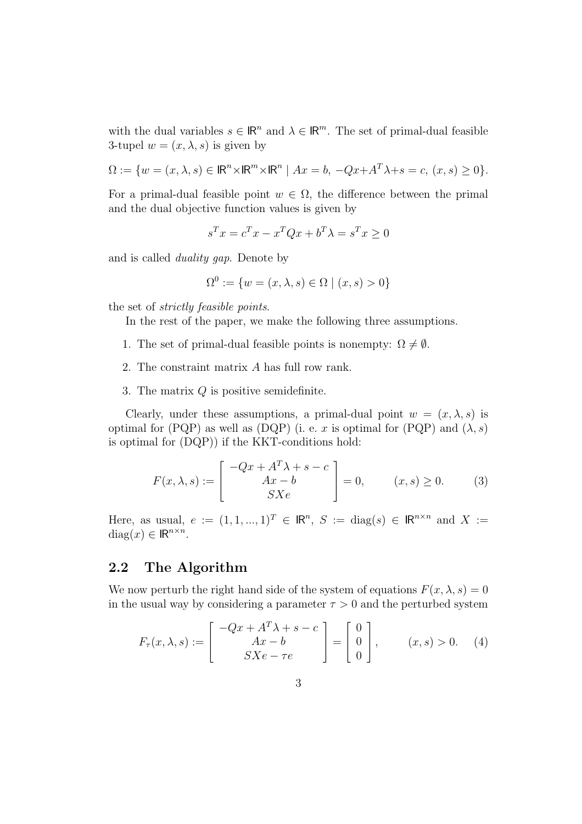with the dual variables  $s \in \mathbb{R}^n$  and  $\lambda \in \mathbb{R}^m$ . The set of primal-dual feasible 3-tupel  $w = (x, \lambda, s)$  is given by

$$
\Omega := \{ w = (x, \lambda, s) \in \mathbb{R}^n \times \mathbb{R}^m \times \mathbb{R}^n \mid Ax = b, -Qx + A^T \lambda + s = c, (x, s) \ge 0 \}.
$$

For a primal-dual feasible point  $w \in \Omega$ , the difference between the primal and the dual objective function values is given by

$$
s^T x = c^T x - x^T Q x + b^T \lambda = s^T x \ge 0
$$

and is called duality gap. Denote by

$$
\Omega^0 := \{ w = (x, \lambda, s) \in \Omega \mid (x, s) > 0 \}
$$

the set of strictly feasible points.

In the rest of the paper, we make the following three assumptions.

- 1. The set of primal-dual feasible points is nonempty:  $\Omega \neq \emptyset$ .
- 2. The constraint matrix A has full row rank.
- 3. The matrix  $Q$  is positive semidefinite.

Clearly, under these assumptions, a primal-dual point  $w = (x, \lambda, s)$  is optimal for (PQP) as well as (DQP) (i. e. x is optimal for (PQP) and  $(\lambda, s)$ is optimal for (DQP)) if the KKT-conditions hold:

$$
F(x,\lambda,s) := \begin{bmatrix} -Qx + A^T \lambda + s - c \\ Ax - b \\ SXe \end{bmatrix} = 0, \qquad (x,s) \ge 0. \tag{3}
$$

Here, as usual,  $e := (1, 1, ..., 1)^T \in \mathbb{R}^n$ ,  $S := diag(s) \in \mathbb{R}^{n \times n}$  and  $X :=$ diag(x)  $\in \mathbb{R}^{n \times n}$ .

#### 2.2 The Algorithm

We now perturb the right hand side of the system of equations  $F(x, \lambda, s) = 0$ in the usual way by considering a parameter  $\tau > 0$  and the perturbed system

$$
F_{\tau}(x,\lambda,s) := \begin{bmatrix} -Qx + A^T \lambda + s - c \\ Ax - b \\ SXe - \tau e \end{bmatrix} = \begin{bmatrix} 0 \\ 0 \\ 0 \end{bmatrix}, \qquad (x,s) > 0. \tag{4}
$$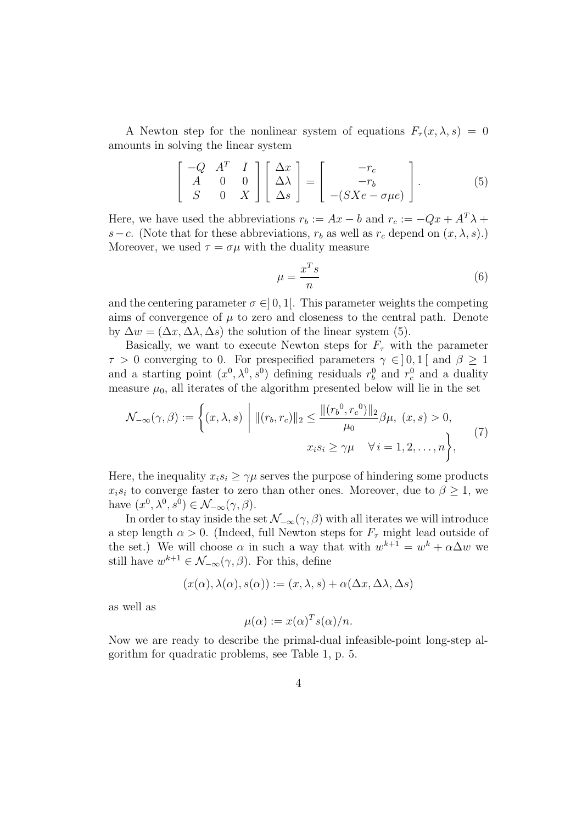A Newton step for the nonlinear system of equations  $F_{\tau}(x,\lambda,s) = 0$ amounts in solving the linear system

$$
\begin{bmatrix} -Q & A^T & I \\ A & 0 & 0 \\ S & 0 & X \end{bmatrix} \begin{bmatrix} \Delta x \\ \Delta \lambda \\ \Delta s \end{bmatrix} = \begin{bmatrix} -r_c \\ -r_b \\ -(SXe - \sigma \mu e) \end{bmatrix}.
$$
 (5)

Here, we have used the abbreviations  $r_b := Ax - b$  and  $r_c := -Qx + A^T \lambda +$ s−c. (Note that for these abbreviations,  $r<sub>b</sub>$  as well as  $r<sub>c</sub>$  depend on  $(x, \lambda, s)$ .) Moreover, we used  $\tau = \sigma \mu$  with the duality measure

$$
\mu = \frac{x^T s}{n} \tag{6}
$$

and the centering parameter  $\sigma \in ]0,1[$ . This parameter weights the competing aims of convergence of  $\mu$  to zero and closeness to the central path. Denote by  $\Delta w = (\Delta x, \Delta \lambda, \Delta s)$  the solution of the linear system (5).

Basically, we want to execute Newton steps for  $F_{\tau}$  with the parameter  $\tau > 0$  converging to 0. For prespecified parameters  $\gamma \in ]0,1[$  and  $\beta \geq 1$ and a starting point  $(x^0, \lambda^0, s^0)$  defining residuals  $r_b^0$  and  $r_c^0$  and a duality measure  $\mu_0$ , all iterates of the algorithm presented below will lie in the set

$$
\mathcal{N}_{-\infty}(\gamma, \beta) := \left\{ (x, \lambda, s) \middle| \|(r_b, r_c)\|_2 \le \frac{\|(r_b^0, r_c^0)\|_2}{\mu_0} \beta \mu, (x, s) > 0, \n x_i s_i \ge \gamma \mu \quad \forall i = 1, 2, ..., n \right\},
$$
\n(7)

Here, the inequality  $x_i s_i > \gamma \mu$  serves the purpose of hindering some products  $x_i s_i$  to converge faster to zero than other ones. Moreover, due to  $\beta \geq 1$ , we have  $(x^0, \lambda^0, s^0) \in \mathcal{N}_{-\infty}(\gamma, \beta)$ .

In order to stay inside the set  $\mathcal{N}_{-\infty}(\gamma,\beta)$  with all iterates we will introduce a step length  $\alpha > 0$ . (Indeed, full Newton steps for  $F_{\tau}$  might lead outside of the set.) We will choose  $\alpha$  in such a way that with  $w^{k+1} = w^k + \alpha \Delta w$  we still have  $w^{k+1} \in \mathcal{N}_{-\infty}(\gamma, \beta)$ . For this, define

$$
(x(\alpha), \lambda(\alpha), s(\alpha)) := (x, \lambda, s) + \alpha(\Delta x, \Delta \lambda, \Delta s)
$$

as well as

$$
\mu(\alpha) := x(\alpha)^T s(\alpha) / n.
$$

Now we are ready to describe the primal-dual infeasible-point long-step algorithm for quadratic problems, see Table 1, p. 5.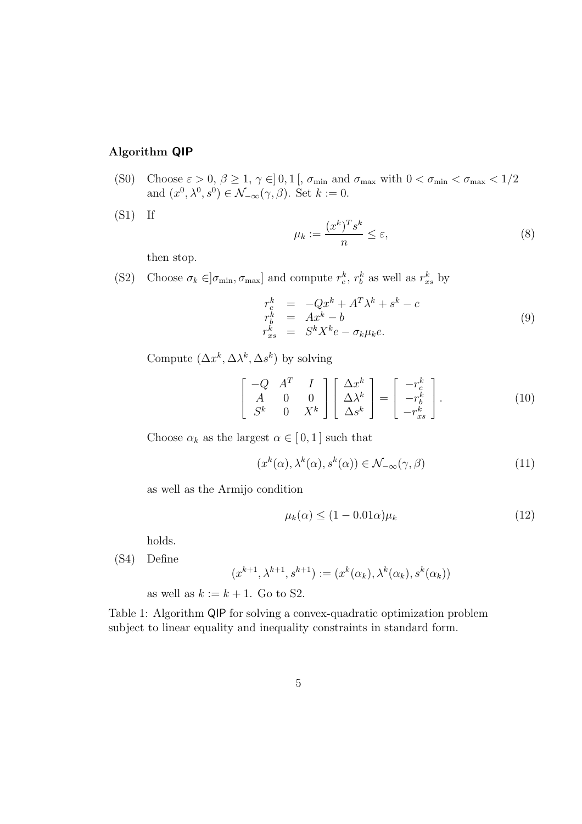#### Algorithm QIP

(S0) Choose  $\varepsilon > 0$ ,  $\beta \ge 1$ ,  $\gamma \in ]0,1[$ ,  $\sigma_{\min}$  and  $\sigma_{\max}$  with  $0 < \sigma_{\min} < \sigma_{\max} < 1/2$ and  $(x^0, \lambda^0, s^0) \in \mathcal{N}_{-\infty}(\gamma, \beta)$ . Set  $k := 0$ .

 $(S1)$  If

$$
\mu_k := \frac{(x^k)^T s^k}{n} \le \varepsilon,\tag{8}
$$

then stop.

(S2) Choose  $\sigma_k \in ]\sigma_{\min}, \sigma_{\max}]$  and compute  $r_c^k, r_b^k$  as well as  $r_{xs}^k$  by

$$
r_c^k = -Qx^k + A^T \lambda^k + s^k - c
$$
  
\n
$$
r_b^k = Ax^k - b
$$
  
\n
$$
r_{xs}^k = S^k X^k e - \sigma_k \mu_k e.
$$
\n(9)

Compute  $(\Delta x^k, \Delta \lambda^k, \Delta s^k)$  by solving

$$
\begin{bmatrix} -Q & A^T & I \\ A & 0 & 0 \\ S^k & 0 & X^k \end{bmatrix} \begin{bmatrix} \Delta x^k \\ \Delta \lambda^k \\ \Delta s^k \end{bmatrix} = \begin{bmatrix} -r_c^k \\ -r_b^k \\ -r_{xs}^k \end{bmatrix}.
$$
 (10)

Choose  $\alpha_k$  as the largest  $\alpha \in [0,1]$  such that

$$
(x^k(\alpha), \lambda^k(\alpha), s^k(\alpha)) \in \mathcal{N}_{-\infty}(\gamma, \beta)
$$
\n(11)

as well as the Armijo condition

$$
\mu_k(\alpha) \le (1 - 0.01\alpha)\mu_k \tag{12}
$$

holds.

(S4) Define

$$
(x^{k+1}, \lambda^{k+1}, s^{k+1}) := (x^k(\alpha_k), \lambda^k(\alpha_k), s^k(\alpha_k))
$$

as well as  $k := k + 1$ . Go to S2.

Table 1: Algorithm QIP for solving a convex-quadratic optimization problem subject to linear equality and inequality constraints in standard form.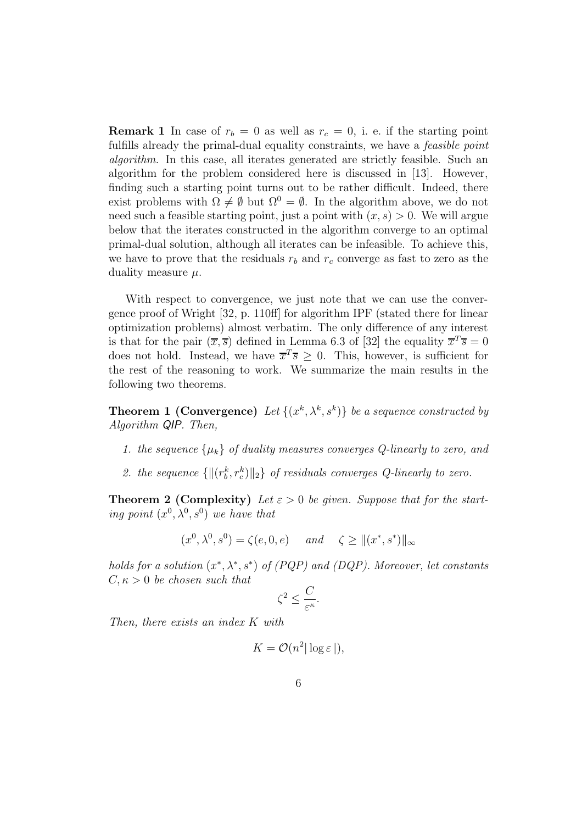**Remark 1** In case of  $r_b = 0$  as well as  $r_c = 0$ , i. e. if the starting point fulfills already the primal-dual equality constraints, we have a *feasible point* algorithm. In this case, all iterates generated are strictly feasible. Such an algorithm for the problem considered here is discussed in [13]. However, finding such a starting point turns out to be rather difficult. Indeed, there exist problems with  $\Omega \neq \emptyset$  but  $\Omega^0 = \emptyset$ . In the algorithm above, we do not need such a feasible starting point, just a point with  $(x, s) > 0$ . We will argue below that the iterates constructed in the algorithm converge to an optimal primal-dual solution, although all iterates can be infeasible. To achieve this, we have to prove that the residuals  $r_b$  and  $r_c$  converge as fast to zero as the duality measure  $\mu$ .

With respect to convergence, we just note that we can use the convergence proof of Wright [32, p. 110ff] for algorithm IPF (stated there for linear optimization problems) almost verbatim. The only difference of any interest is that for the pair  $(\overline{x}, \overline{s})$  defined in Lemma 6.3 of [32] the equality  $\overline{x}^T \overline{s} = 0$ does not hold. Instead, we have  $\overline{x}^T \overline{s} \geq 0$ . This, however, is sufficient for the rest of the reasoning to work. We summarize the main results in the following two theorems.

**Theorem 1 (Convergence)** Let  $\{(x^k, \lambda^k, s^k)\}$  be a sequence constructed by Algorithm QIP. Then,

- 1. the sequence  $\{\mu_k\}$  of duality measures converges Q-linearly to zero, and
- 2. the sequence  $\{\|(r_b^k, r_c^k)\|_2\}$  of residuals converges Q-linearly to zero.

**Theorem 2 (Complexity)** Let  $\varepsilon > 0$  be given. Suppose that for the starting point  $(x^0, \lambda^0, s^0)$  we have that

$$
(x^0, \lambda^0, s^0) = \zeta(e, 0, e)
$$
 and  $\zeta \ge ||(x^*, s^*)||_{\infty}$ 

holds for a solution  $(x^*, \lambda^*, s^*)$  of (PQP) and (DQP). Moreover, let constants  $C, \kappa > 0$  be chosen such that

$$
\zeta^2 \le \frac{C}{\varepsilon^{\kappa}}.
$$

Then, there exists an index K with

$$
K = \mathcal{O}(n^2 |\log \varepsilon|),
$$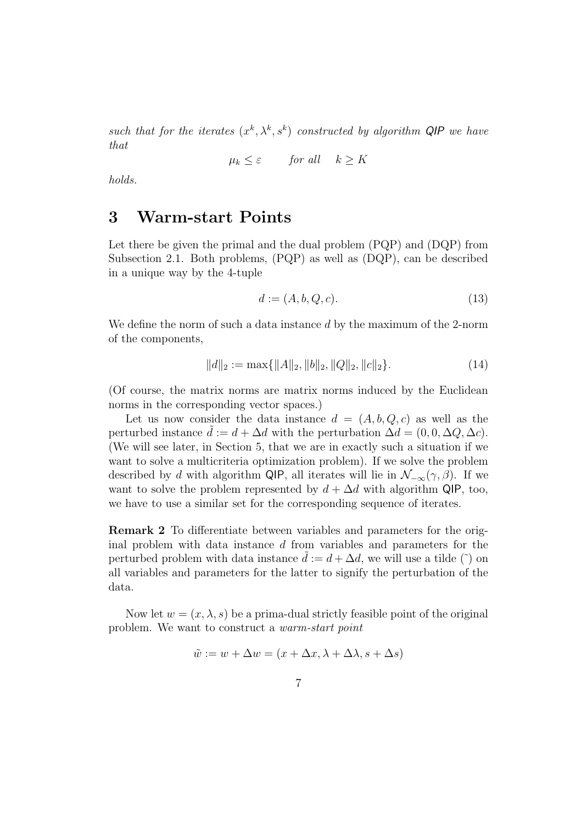such that for the iterates  $(x^k, \lambda^k, s^k)$  constructed by algorithm QIP we have that

$$
\mu_k \le \varepsilon \qquad \text{for all} \quad k \ge K
$$

holds.

## 3 Warm-start Points

Let there be given the primal and the dual problem (PQP) and (DQP) from Subsection 2.1. Both problems, (PQP) as well as (DQP), can be described in a unique way by the 4-tuple

$$
d := (A, b, Q, c). \tag{13}
$$

We define the norm of such a data instance d by the maximum of the 2-norm of the components,

$$
||d||_2 := \max\{||A||_2, ||b||_2, ||Q||_2, ||c||_2\}.
$$
 (14)

(Of course, the matrix norms are matrix norms induced by the Euclidean norms in the corresponding vector spaces.)

Let us now consider the data instance  $d = (A, b, Q, c)$  as well as the perturbed instance  $\tilde{d} := d + \Delta d$  with the perturbation  $\Delta d = (0, 0, \Delta Q, \Delta c)$ . (We will see later, in Section 5, that we are in exactly such a situation if we want to solve a multicriteria optimization problem). If we solve the problem described by d with algorithm QIP, all iterates will lie in  $\mathcal{N}_{-\infty}(\gamma,\beta)$ . If we want to solve the problem represented by  $d + \Delta d$  with algorithm QIP, too, we have to use a similar set for the corresponding sequence of iterates.

Remark 2 To differentiate between variables and parameters for the original problem with data instance d from variables and parameters for the perturbed problem with data instance  $\tilde{d} := d + \Delta d$ , we will use a tilde ( $\tilde{ }$ ) on all variables and parameters for the latter to signify the perturbation of the data.

Now let  $w = (x, \lambda, s)$  be a prima-dual strictly feasible point of the original problem. We want to construct a warm-start point

$$
\tilde{w} := w + \Delta w = (x + \Delta x, \lambda + \Delta \lambda, s + \Delta s)
$$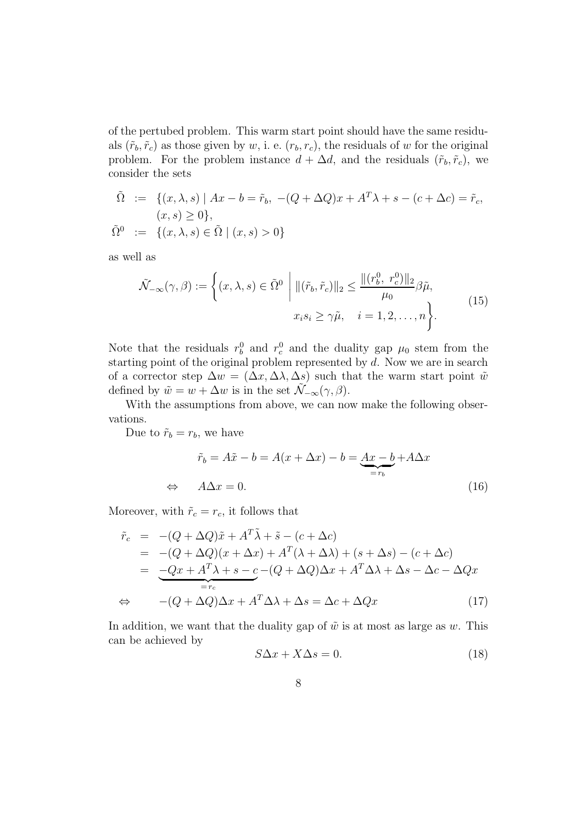of the pertubed problem. This warm start point should have the same residuals  $(\tilde{r}_b, \tilde{r}_c)$  as those given by w, i. e.  $(r_b, r_c)$ , the residuals of w for the original problem. For the problem instance  $d + \Delta d$ , and the residuals  $(\tilde{r}_b, \tilde{r}_c)$ , we consider the sets

$$
\tilde{\Omega} := \{ (x, \lambda, s) \mid Ax - b = \tilde{r}_b, -(Q + \Delta Q)x + A^T \lambda + s - (c + \Delta c) = \tilde{r}_c, (x, s) \ge 0 \}, \n\tilde{\Omega}^0 := \{ (x, \lambda, s) \in \tilde{\Omega} \mid (x, s) > 0 \}
$$

as well as

$$
\tilde{\mathcal{N}}_{-\infty}(\gamma,\beta) := \left\{ (x,\lambda,s) \in \tilde{\Omega}^0 \; \middle| \; \|(\tilde{r}_b, \tilde{r}_c)\|_2 \le \frac{\|(r_b^0, r_c^0)\|_2}{\mu_0} \beta \tilde{\mu}, \right\}
$$
\n
$$
x_i s_i \ge \gamma \tilde{\mu}, \quad i = 1, 2, \dots, n \right\}.
$$
\n(15)

Note that the residuals  $r_b^0$  and  $r_c^0$  and the duality gap  $\mu_0$  stem from the starting point of the original problem represented by d. Now we are in search of a corrector step  $\Delta w = (\Delta x, \Delta \lambda, \Delta s)$  such that the warm start point  $\tilde{w}$ defined by  $\tilde{w} = w + \Delta w$  is in the set  $\mathcal{N}_{-\infty}(\gamma, \beta)$ .

With the assumptions from above, we can now make the following observations.

Due to  $\tilde{r}_b = r_b$ , we have

$$
\tilde{r}_b = A\tilde{x} - b = A(x + \Delta x) - b = \underbrace{Ax - b}_{=r_b} + A\Delta x
$$
\n
$$
\Leftrightarrow \quad A\Delta x = 0. \tag{16}
$$

Moreover, with  $\tilde{r}_c = r_c$ , it follows that

$$
\tilde{r}_c = -(Q + \Delta Q)\tilde{x} + A^T \tilde{\lambda} + \tilde{s} - (c + \Delta c)
$$
\n
$$
= -(Q + \Delta Q)(x + \Delta x) + A^T (\lambda + \Delta \lambda) + (s + \Delta s) - (c + \Delta c)
$$
\n
$$
= \underbrace{-Qx + A^T \lambda + s - c}_{= r_c} - (Q + \Delta Q)\Delta x + A^T \Delta \lambda + \Delta s - \Delta c - \Delta Qx
$$
\n
$$
\Leftrightarrow -(Q + \Delta Q)\Delta x + A^T \Delta \lambda + \Delta s = \Delta c + \Delta Qx \tag{17}
$$

In addition, we want that the duality gap of  $\tilde{w}$  is at most as large as w. This can be achieved by

$$
S\Delta x + X\Delta s = 0. \tag{18}
$$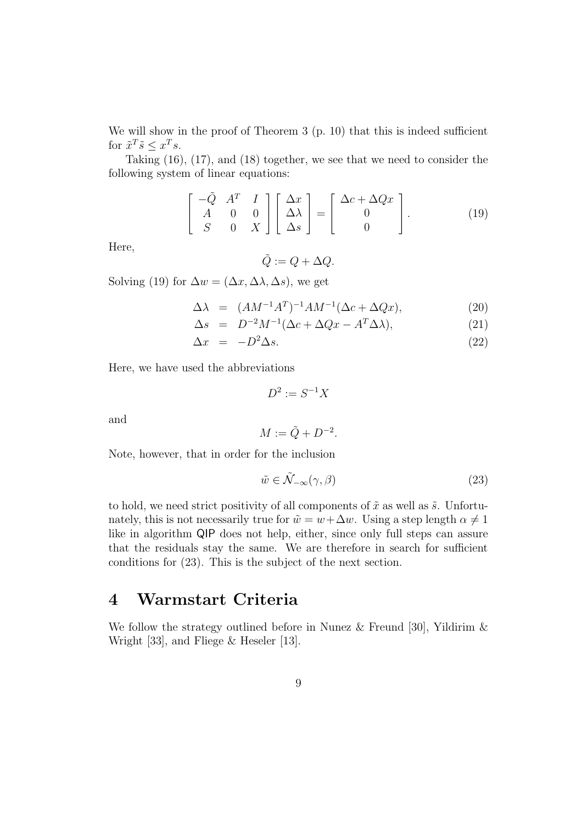We will show in the proof of Theorem 3 (p. 10) that this is indeed sufficient for  $\tilde{x}^T \tilde{s} \leq x^T s$ .

Taking (16), (17), and (18) together, we see that we need to consider the following system of linear equations:

$$
\begin{bmatrix} -\tilde{Q} & A^T & I \\ A & 0 & 0 \\ S & 0 & X \end{bmatrix} \begin{bmatrix} \Delta x \\ \Delta \lambda \\ \Delta s \end{bmatrix} = \begin{bmatrix} \Delta c + \Delta Qx \\ 0 \\ 0 \end{bmatrix}.
$$
 (19)

Here,

$$
\tilde{Q} := Q + \Delta Q.
$$

Solving (19) for  $\Delta w = (\Delta x, \Delta \lambda, \Delta s)$ , we get

$$
\Delta \lambda = (AM^{-1}A^T)^{-1}AM^{-1}(\Delta c + \Delta Qx), \qquad (20)
$$

$$
\Delta s = D^{-2}M^{-1}(\Delta c + \Delta Qx - A^T \Delta \lambda), \qquad (21)
$$

$$
\Delta x = -D^2 \Delta s. \tag{22}
$$

.

Here, we have used the abbreviations

$$
D^2 := S^{-1}X
$$

and

$$
M:=\tilde{Q}+D^{-2}
$$

Note, however, that in order for the inclusion

$$
\tilde{w} \in \tilde{\mathcal{N}}_{-\infty}(\gamma, \beta) \tag{23}
$$

to hold, we need strict positivity of all components of  $\tilde{x}$  as well as  $\tilde{s}$ . Unfortunately, this is not necessarily true for  $\tilde{w} = w + \Delta w$ . Using a step length  $\alpha \neq 1$ like in algorithm QIP does not help, either, since only full steps can assure that the residuals stay the same. We are therefore in search for sufficient conditions for (23). This is the subject of the next section.

## 4 Warmstart Criteria

We follow the strategy outlined before in Nunez & Freund [30], Yildirim & Wright [33], and Fliege & Heseler [13].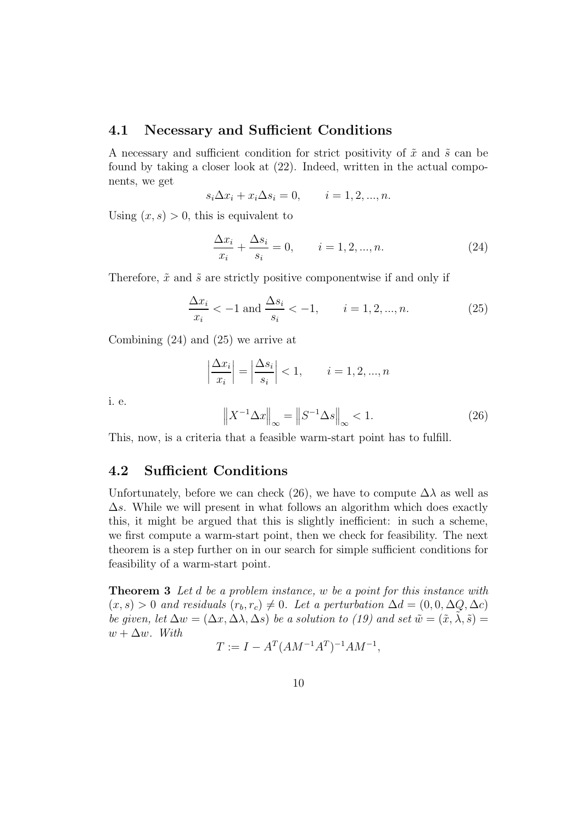#### 4.1 Necessary and Sufficient Conditions

A necessary and sufficient condition for strict positivity of  $\tilde{x}$  and  $\tilde{s}$  can be found by taking a closer look at (22). Indeed, written in the actual components, we get

$$
s_i \Delta x_i + x_i \Delta s_i = 0, \qquad i = 1, 2, ..., n.
$$

Using  $(x, s) > 0$ , this is equivalent to

$$
\frac{\Delta x_i}{x_i} + \frac{\Delta s_i}{s_i} = 0, \qquad i = 1, 2, ..., n.
$$
 (24)

Therefore,  $\tilde{x}$  and  $\tilde{s}$  are strictly positive componentwise if and only if

$$
\frac{\Delta x_i}{x_i} < -1 \text{ and } \frac{\Delta s_i}{s_i} < -1, \qquad i = 1, 2, \dots, n. \tag{25}
$$

Combining (24) and (25) we arrive at

$$
\left|\frac{\Delta x_i}{x_i}\right| = \left|\frac{\Delta s_i}{s_i}\right| < 1, \qquad i = 1, 2, \dots, n
$$

i. e.

$$
\left\|X^{-1}\Delta x\right\|_{\infty} = \left\|S^{-1}\Delta s\right\|_{\infty} < 1. \tag{26}
$$

This, now, is a criteria that a feasible warm-start point has to fulfill.

#### 4.2 Sufficient Conditions

Unfortunately, before we can check (26), we have to compute  $\Delta\lambda$  as well as  $\Delta s$ . While we will present in what follows an algorithm which does exactly this, it might be argued that this is slightly inefficient: in such a scheme, we first compute a warm-start point, then we check for feasibility. The next theorem is a step further on in our search for simple sufficient conditions for feasibility of a warm-start point.

**Theorem 3** Let d be a problem instance, w be a point for this instance with  $(x, s) > 0$  and residuals  $(r_b, r_c) \neq 0$ . Let a perturbation  $\Delta d = (0, 0, \Delta Q, \Delta c)$ be given, let  $\Delta w = (\Delta x, \Delta \lambda, \Delta s)$  be a solution to (19) and set  $\tilde{w} = (\tilde{x}, \tilde{\lambda}, \tilde{s}) =$  $w + \Delta w$ . With

$$
T := I - A^T (AM^{-1}A^T)^{-1}AM^{-1},
$$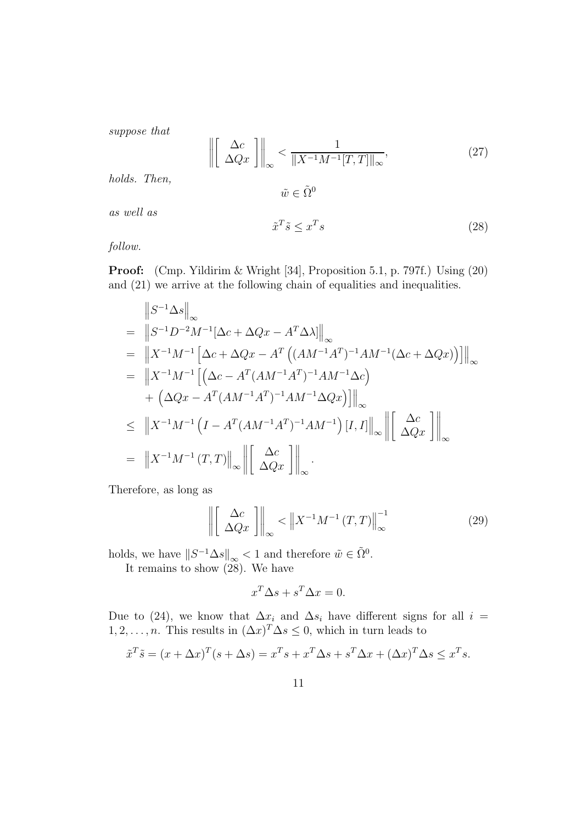suppose that

$$
\left\| \begin{bmatrix} \Delta c \\ \Delta Q x \end{bmatrix} \right\|_{\infty} < \frac{1}{\|X^{-1}M^{-1}[T,T]\|_{\infty}},\tag{27}
$$

holds. Then,

$$
\tilde{w}\in \tilde{\Omega}^0
$$

as well as

$$
\tilde{x}^T \tilde{s} \le x^T s \tag{28}
$$

follow.

Proof: (Cmp. Yildirim & Wright [34], Proposition 5.1, p. 797f.) Using (20) and (21) we arrive at the following chain of equalities and inequalities.

$$
\|S^{-1}\Delta s\|_{\infty} \n= \|S^{-1}D^{-2}M^{-1}[\Delta c + \Delta Qx - A^T\Delta\lambda]\|_{\infty} \n= \|X^{-1}M^{-1}[\Delta c + \Delta Qx - A^T((AM^{-1}A^T)^{-1}AM^{-1}(\Delta c + \Delta Qx))] \|_{\infty} \n= \|X^{-1}M^{-1}[(\Delta c - A^T(AM^{-1}A^T)^{-1}AM^{-1}\Delta c) \n+ (\Delta Qx - A^T(AM^{-1}A^T)^{-1}AM^{-1}\Delta Qx)] \|_{\infty} \n\le \|X^{-1}M^{-1}(I - A^T(AM^{-1}A^T)^{-1}AM^{-1})[I, I] \|_{\infty} \|[\Delta c]_{\infty} \n= \|X^{-1}M^{-1}(T, T)\|_{\infty} \|[\Delta Qx] \|_{\infty}.
$$

Therefore, as long as

$$
\left\| \begin{bmatrix} \Delta c \\ \Delta Q x \end{bmatrix} \right\|_{\infty} < \left\| X^{-1} M^{-1} (T, T) \right\|_{\infty}^{-1}
$$
 (29)

holds, we have  $||S^{-1}\Delta s||_{\infty} < 1$  and therefore  $\tilde{w} \in \tilde{\Omega}^0$ .

It remains to show (28). We have

$$
x^T \Delta s + s^T \Delta x = 0.
$$

Due to (24), we know that  $\Delta x_i$  and  $\Delta s_i$  have different signs for all  $i =$  $1, 2, \ldots, n$ . This results in  $(\Delta x)^T \Delta s \leq 0$ , which in turn leads to

$$
\tilde{x}^T \tilde{s} = (x + \Delta x)^T (s + \Delta s) = x^T s + x^T \Delta s + s^T \Delta x + (\Delta x)^T \Delta s \le x^T s.
$$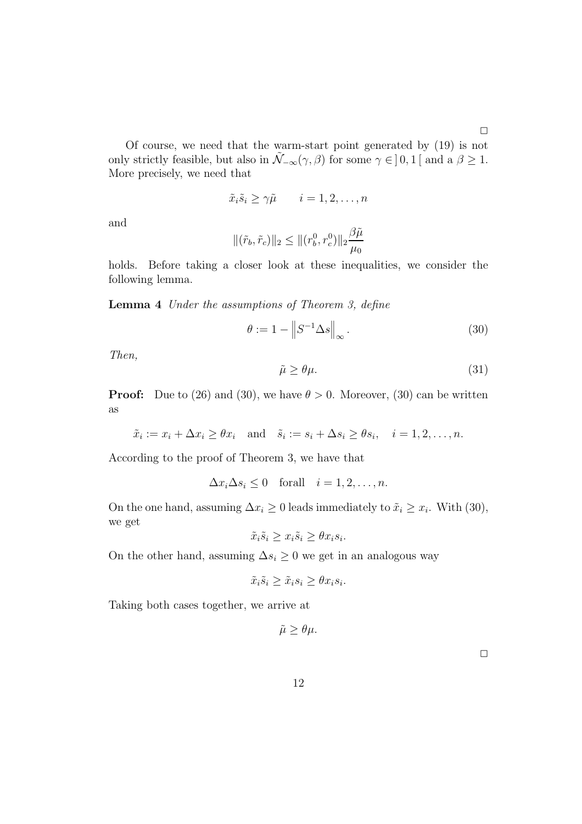Of course, we need that the warm-start point generated by (19) is not only strictly feasible, but also in  $\tilde{\mathcal{N}}_{-\infty}(\gamma,\beta)$  for some  $\gamma \in ]0,1[$  and a  $\beta \geq 1$ . More precisely, we need that

$$
\tilde{x}_i \tilde{s}_i \ge \gamma \tilde{\mu} \qquad i = 1, 2, \dots, n
$$

and

$$
\|(\tilde{r}_b, \tilde{r}_c)\|_2 \le \|({r}_b^0, {r}_c^0)\|_2 \frac{\beta \tilde{\mu}}{\mu_0}
$$

holds. Before taking a closer look at these inequalities, we consider the following lemma.

Lemma 4 Under the assumptions of Theorem 3, define

$$
\theta := 1 - \left\| S^{-1} \Delta s \right\|_{\infty}.
$$
\n(30)

Then,

$$
\tilde{\mu} \ge \theta \mu. \tag{31}
$$

**Proof:** Due to (26) and (30), we have  $\theta > 0$ . Moreover, (30) can be written as

$$
\tilde{x}_i := x_i + \Delta x_i \ge \theta x_i
$$
 and  $\tilde{s}_i := s_i + \Delta s_i \ge \theta s_i$ ,  $i = 1, 2, ..., n$ .

According to the proof of Theorem 3, we have that

$$
\Delta x_i \Delta s_i \le 0 \quad \text{for all} \quad i = 1, 2, \dots, n.
$$

On the one hand, assuming  $\Delta x_i \geq 0$  leads immediately to  $\tilde{x}_i \geq x_i$ . With (30), we get

$$
\tilde{x}_i \tilde{s}_i \ge x_i \tilde{s}_i \ge \theta x_i s_i.
$$

On the other hand, assuming  $\Delta s_i \geq 0$  we get in an analogous way

$$
\tilde{x}_i \tilde{s}_i \ge \tilde{x}_i s_i \ge \theta x_i s_i.
$$

Taking both cases together, we arrive at

$$
\tilde{\mu}\geq\theta\mu.
$$

 $\Box$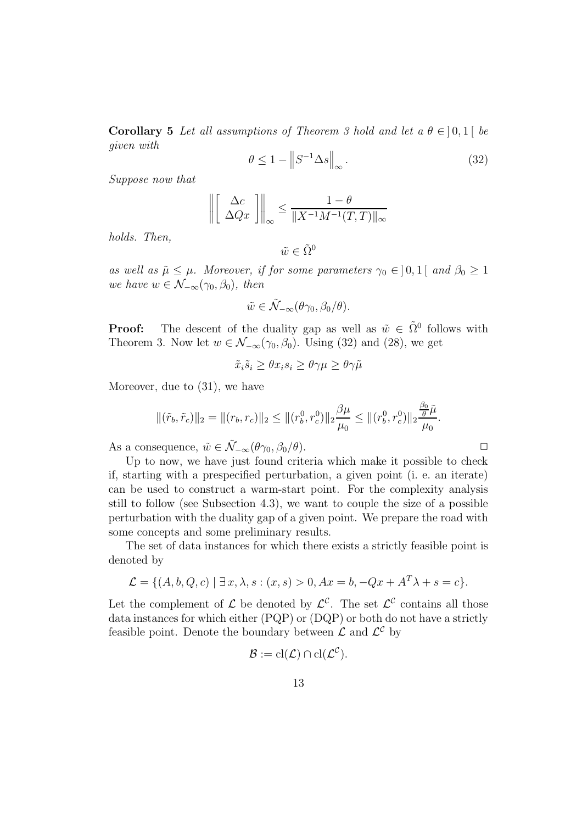Corollary 5 Let all assumptions of Theorem 3 hold and let a  $\theta \in ]0,1[$  be given with

$$
\theta \le 1 - \left\| S^{-1} \Delta s \right\|_{\infty}.
$$
\n(32)

Suppose now that

$$
\left\| \begin{bmatrix} \Delta c \\ \Delta Qx \end{bmatrix} \right\|_{\infty} \le \frac{1-\theta}{\|X^{-1}M^{-1}(T,T)\|_{\infty}}
$$

holds. Then,

$$
\tilde{w} \in \tilde{\Omega}^0
$$

as well as  $\tilde{\mu} \leq \mu$ . Moreover, if for some parameters  $\gamma_0 \in ]0,1[$  and  $\beta_0 \geq 1$ we have  $w \in \mathcal{N}_{-\infty}(\gamma_0, \beta_0)$ , then

$$
\tilde{w} \in \tilde{\mathcal{N}}_{-\infty}(\theta \gamma_0, \beta_0/\theta).
$$

**Proof:** The descent of the duality gap as well as  $\tilde{w} \in \tilde{\Omega}^0$  follows with Theorem 3. Now let  $w \in \mathcal{N}_{-\infty}(\gamma_0, \beta_0)$ . Using (32) and (28), we get

$$
\tilde{x}_i \tilde{s}_i \ge \theta x_i s_i \ge \theta \gamma \mu \ge \theta \gamma \tilde{\mu}
$$

Moreover, due to (31), we have

$$
\|(\tilde{r}_b, \tilde{r}_c)\|_2 = \|(r_b, r_c)\|_2 \le \|(r_b^0, r_c^0)\|_2 \frac{\beta \mu}{\mu_0} \le \|(r_b^0, r_c^0)\|_2 \frac{\frac{\beta_0}{\theta} \tilde{\mu}}{\mu_0}.
$$

As a consequence,  $\tilde{w} \in \tilde{\mathcal{N}}_{-\infty}(\theta \gamma_0, \beta_0/\theta)$ .  $\Box$ 

Up to now, we have just found criteria which make it possible to check if, starting with a prespecified perturbation, a given point (i. e. an iterate) can be used to construct a warm-start point. For the complexity analysis still to follow (see Subsection 4.3), we want to couple the size of a possible perturbation with the duality gap of a given point. We prepare the road with some concepts and some preliminary results.

The set of data instances for which there exists a strictly feasible point is denoted by

$$
\mathcal{L} = \{ (A, b, Q, c) \mid \exists x, \lambda, s : (x, s) > 0, Ax = b, -Qx + A^T \lambda + s = c \}.
$$

Let the complement of  $\mathcal{L}$  be denoted by  $\mathcal{L}^{\mathcal{C}}$ . The set  $\mathcal{L}^{\mathcal{C}}$  contains all those data instances for which either (PQP) or (DQP) or both do not have a strictly feasible point. Denote the boundary between  $\mathcal{L}$  and  $\mathcal{L}^{\mathcal{C}}$  by

$$
\mathcal{B} := \mathrm{cl}(\mathcal{L}) \cap \mathrm{cl}(\mathcal{L}^{\mathcal{C}}).
$$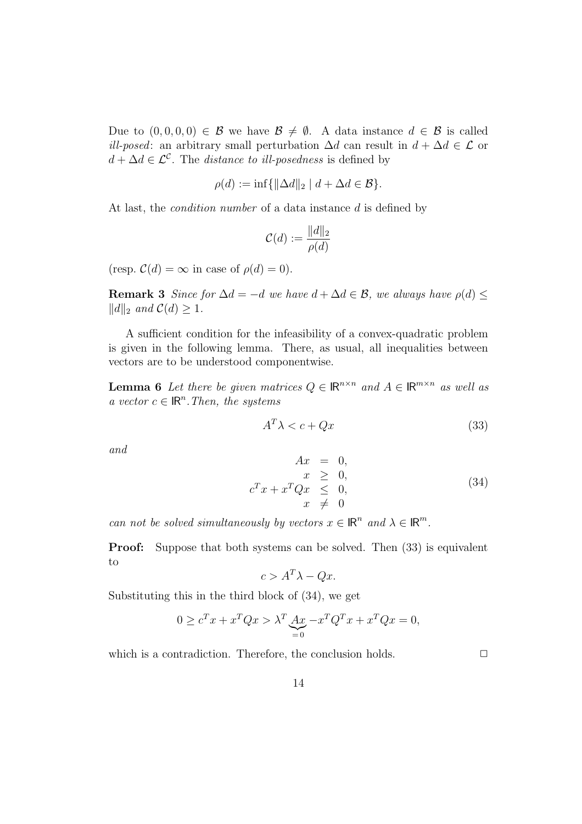Due to  $(0, 0, 0, 0) \in \mathcal{B}$  we have  $\mathcal{B} \neq \emptyset$ . A data instance  $d \in \mathcal{B}$  is called *ill-posed*: an arbitrary small perturbation  $\Delta d$  can result in  $d + \Delta d \in \mathcal{L}$  or  $d + \Delta d \in \mathcal{L}^{\mathcal{C}}$ . The *distance to ill-posedness* is defined by

$$
\rho(d) := \inf \{ ||\Delta d||_2 \mid d + \Delta d \in \mathcal{B} \}.
$$

At last, the *condition number* of a data instance d is defined by

$$
\mathcal{C}(d) := \frac{\|d\|_2}{\rho(d)}
$$

(resp.  $\mathcal{C}(d) = \infty$  in case of  $\rho(d) = 0$ ).

**Remark 3** Since for  $\Delta d = -d$  we have  $d + \Delta d \in \mathcal{B}$ , we always have  $\rho(d)$  $||d||_2$  and  $C(d) \geq 1$ .

A sufficient condition for the infeasibility of a convex-quadratic problem is given in the following lemma. There, as usual, all inequalities between vectors are to be understood componentwise.

**Lemma 6** Let there be given matrices  $Q \in \mathbb{R}^{n \times n}$  and  $A \in \mathbb{R}^{m \times n}$  as well as a vector  $c \in \mathbb{R}^n$ . Then, the systems

$$
A^T \lambda < c + Qx \tag{33}
$$

and

$$
Ax = 0,
$$
  
\n
$$
x \ge 0,
$$
  
\n
$$
c^{T}x + x^{T}Qx \le 0,
$$
  
\n
$$
x \ne 0
$$
\n(34)

can not be solved simultaneously by vectors  $x \in \mathbb{R}^n$  and  $\lambda \in \mathbb{R}^m$ .

**Proof:** Suppose that both systems can be solved. Then  $(33)$  is equivalent to

$$
c > A^T \lambda - Qx.
$$

Substituting this in the third block of (34), we get

$$
0 \ge c^T x + x^T Q x > \lambda^T \underbrace{A x}_{=0} - x^T Q^T x + x^T Q x = 0,
$$

which is a contradiction. Therefore, the conclusion holds.  $\Box$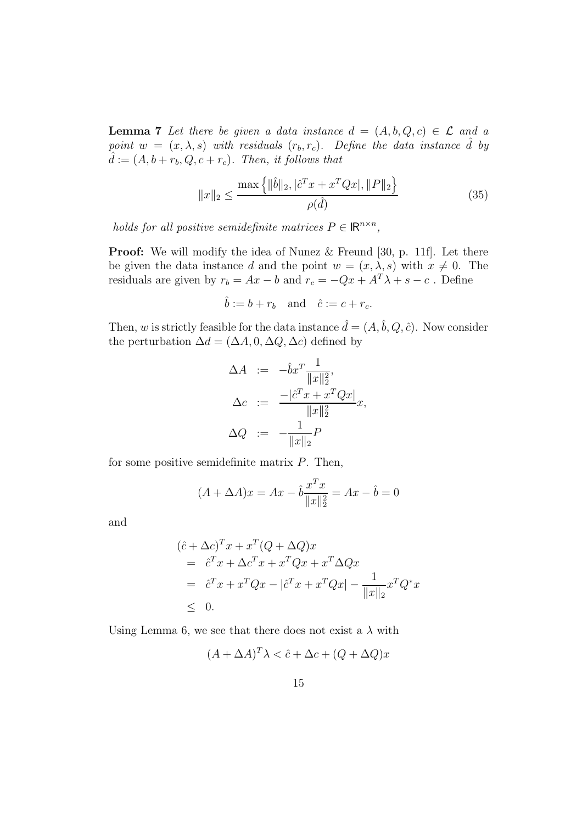**Lemma 7** Let there be given a data instance  $d = (A, b, Q, c) \in \mathcal{L}$  and a point  $w = (x, \lambda, s)$  with residuals  $(r_b, r_c)$ . Define the data instance  $\hat{d}$  by  $\hat{d} := (A, b + r_b, Q, c + r_c)$ . Then, it follows that

$$
||x||_2 \le \frac{\max\left\{||\hat{b}||_2, |\hat{c}^T x + x^T Q x|, ||P||_2\right\}}{\rho(\hat{d})}
$$
(35)

holds for all positive semidefinite matrices  $P \in \mathbb{R}^{n \times n}$ ,

**Proof:** We will modify the idea of Nunez & Freund [30, p. 11f]. Let there be given the data instance d and the point  $w = (x, \lambda, s)$  with  $x \neq 0$ . The residuals are given by  $r_b = Ax - b$  and  $r_c = -Qx + A^T \lambda + s - c$ . Define

$$
\hat{b} := b + r_b \quad \text{and} \quad \hat{c} := c + r_c.
$$

Then, w is strictly feasible for the data instance  $\hat{d} = (A, \hat{b}, Q, \hat{c})$ . Now consider the perturbation  $\Delta d = (\Delta A, 0, \Delta Q, \Delta c)$  defined by

$$
\Delta A := -\hat{b}x^T \frac{1}{\|x\|_2^2},
$$
  
\n
$$
\Delta c := \frac{-|\hat{c}^T x + x^T Q x|}{\|x\|_2^2} x,
$$
  
\n
$$
\Delta Q := -\frac{1}{\|x\|_2} P
$$

for some positive semidefinite matrix  $P$ . Then,

$$
(A + \Delta A)x = Ax - \hat{b}\frac{x^T x}{\|x\|_2^2} = Ax - \hat{b} = 0
$$

and

$$
(\hat{c} + \Delta c)^T x + x^T (Q + \Delta Q) x
$$
  
=  $\hat{c}^T x + \Delta c^T x + x^T Q x + x^T \Delta Q x$   
=  $\hat{c}^T x + x^T Q x - |\hat{c}^T x + x^T Q x| - \frac{1}{\|x\|_2} x^T Q^* x$   
 $\leq 0.$ 

Using Lemma 6, we see that there does not exist a  $\lambda$  with

$$
(A + \Delta A)^{T} \lambda < \hat{c} + \Delta c + (Q + \Delta Q)x
$$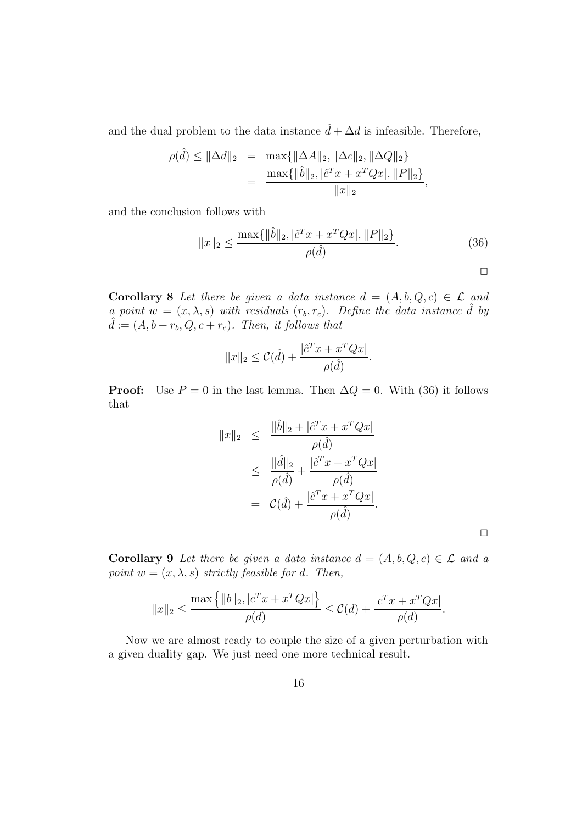and the dual problem to the data instance  $\hat{d} + \Delta d$  is infeasible. Therefore,

$$
\rho(\hat{d}) \le ||\Delta d||_2 = \max\{||\Delta A||_2, ||\Delta c||_2, ||\Delta Q||_2\}
$$
  
= 
$$
\frac{\max\{||\hat{b}||_2, |\hat{c}^T x + x^T Q x|, ||P||_2\}}{||x||_2},
$$

and the conclusion follows with

$$
||x||_2 \le \frac{\max\{||\hat{b}||_2, |\hat{c}^T x + x^T Q x|, ||P||_2\}}{\rho(\hat{d})}.
$$
\n(36)

 $\Box$ 

**Corollary 8** Let there be given a data instance  $d = (A, b, Q, c) \in \mathcal{L}$  and a point  $w = (x, \lambda, s)$  with residuals  $(r_b, r_c)$ . Define the data instance  $\hat{d}$  by  $\hat{d} := (A, b + r_b, Q, c + r_c)$ . Then, it follows that

$$
||x||_2 \leq C(\hat{d}) + \frac{|\hat{c}^T x + x^T Q x|}{\rho(\hat{d})}.
$$

**Proof:** Use  $P = 0$  in the last lemma. Then  $\Delta Q = 0$ . With (36) it follows that

$$
||x||_2 \leq \frac{||\hat{b}||_2 + |\hat{c}^T x + x^T Q x|}{\rho(\hat{d})}
$$
  
\n
$$
\leq \frac{||\hat{d}||_2}{\rho(\hat{d})} + \frac{|\hat{c}^T x + x^T Q x|}{\rho(\hat{d})}
$$
  
\n
$$
= C(\hat{d}) + \frac{|\hat{c}^T x + x^T Q x|}{\rho(\hat{d})}.
$$

**Corollary 9** Let there be given a data instance  $d = (A, b, Q, c) \in \mathcal{L}$  and a point  $w = (x, \lambda, s)$  strictly feasible for d. Then,

$$
||x||_2 \le \frac{\max\{|b||_2, |c^T x + x^T Q x|\}}{\rho(d)} \le C(d) + \frac{|c^T x + x^T Q x|}{\rho(d)}.
$$

Now we are almost ready to couple the size of a given perturbation with a given duality gap. We just need one more technical result.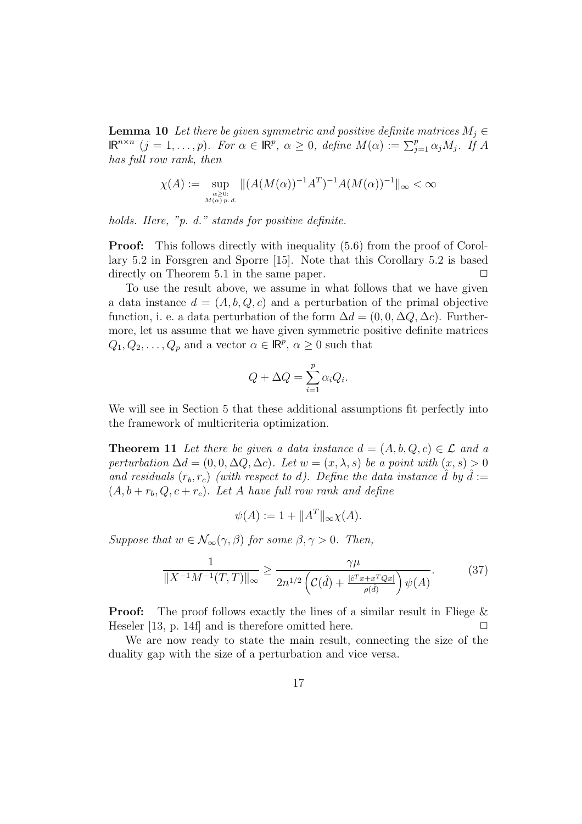**Lemma 10** Let there be given symmetric and positive definite matrices  $M_i \in$  $\mathsf{IR}^{n\times n}$   $(j = 1, \ldots, p)$ . For  $\alpha \in \mathsf{IR}^p$ ,  $\alpha \geq 0$ , define  $M(\alpha) := \sum_{j=1}^p \alpha_j M_j$ . If A has full row rank, then

$$
\chi(A) := \sup_{\substack{\alpha \ge 0:\\M(\alpha) \ p. d.}} \|(A(M(\alpha))^{-1}A^T)^{-1}A(M(\alpha))^{-1}\|_{\infty} < \infty
$$

holds. Here, "p. d." stands for positive definite.

**Proof:** This follows directly with inequality  $(5.6)$  from the proof of Corollary 5.2 in Forsgren and Sporre [15]. Note that this Corollary 5.2 is based directly on Theorem 5.1 in the same paper.  $\Box$ 

To use the result above, we assume in what follows that we have given a data instance  $d = (A, b, Q, c)$  and a perturbation of the primal objective function, i. e. a data perturbation of the form  $\Delta d = (0, 0, \Delta Q, \Delta c)$ . Furthermore, let us assume that we have given symmetric positive definite matrices  $Q_1, Q_2, \ldots, Q_p$  and a vector  $\alpha \in \mathbb{R}^p$ ,  $\alpha \geq 0$  such that

$$
Q + \Delta Q = \sum_{i=1}^{p} \alpha_i Q_i.
$$

We will see in Section 5 that these additional assumptions fit perfectly into the framework of multicriteria optimization.

**Theorem 11** Let there be given a data instance  $d = (A, b, Q, c) \in \mathcal{L}$  and a perturbation  $\Delta d = (0, 0, \Delta Q, \Delta c)$ . Let  $w = (x, \lambda, s)$  be a point with  $(x, s) > 0$ and residuals  $(r_b, r_c)$  (with respect to d). Define the data instance  $\hat{d}$  by  $\hat{d} :=$  $(A, b + r_b, Q, c + r_c)$ . Let A have full row rank and define

$$
\psi(A) := 1 + ||A^T||_{\infty} \chi(A).
$$

Suppose that  $w \in \mathcal{N}_{\infty}(\gamma, \beta)$  for some  $\beta, \gamma > 0$ . Then,

$$
\frac{1}{\|X^{-1}M^{-1}(T,T)\|_{\infty}} \ge \frac{\gamma\mu}{2n^{1/2}\left(\mathcal{C}(\hat{d}) + \frac{|\hat{c}^T x + x^T Q x|}{\rho(\hat{d})}\right)\psi(A)}.\tag{37}
$$

**Proof:** The proof follows exactly the lines of a similar result in Fliege & Heseler  $[13, p. 14f]$  and is therefore omitted here.  $\Box$ 

We are now ready to state the main result, connecting the size of the duality gap with the size of a perturbation and vice versa.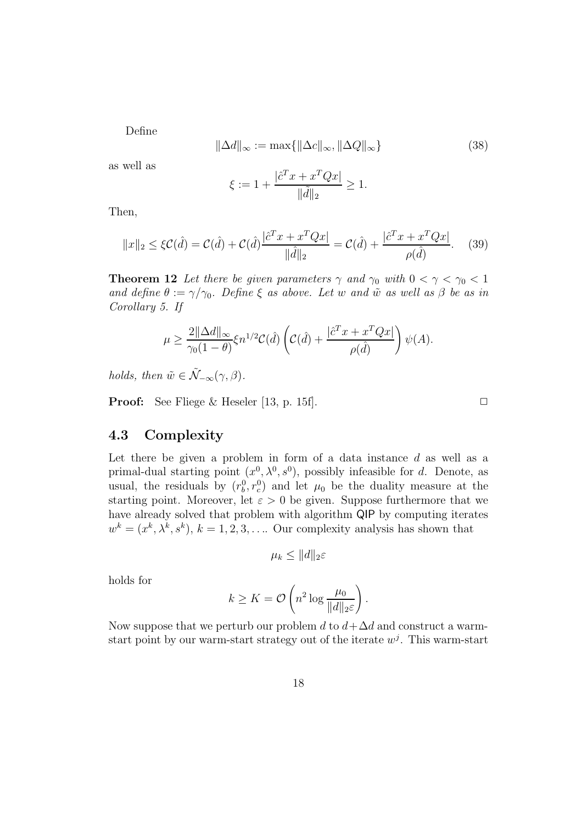Define

$$
\|\Delta d\|_{\infty} := \max\{\|\Delta c\|_{\infty}, \|\Delta Q\|_{\infty}\}\tag{38}
$$

as well as

$$
\xi := 1 + \frac{|\hat{c}^T x + x^T Q x|}{\|\tilde{d}\|_2} \ge 1.
$$

Then,

$$
||x||_2 \le \xi C(\hat{d}) = C(\hat{d}) + C(\hat{d}) \frac{|\hat{c}^T x + x^T Q x|}{\|\hat{d}\|_2} = C(\hat{d}) + \frac{|\hat{c}^T x + x^T Q x|}{\rho(\hat{d})}.
$$
 (39)

**Theorem 12** Let there be given parameters  $\gamma$  and  $\gamma_0$  with  $0 < \gamma < \gamma_0 < 1$ and define  $\theta := \gamma/\gamma_0$ . Define  $\xi$  as above. Let w and  $\tilde{w}$  as well as  $\beta$  be as in Corollary 5. If

$$
\mu \ge \frac{2\|\Delta d\|_{\infty}}{\gamma_0(1-\theta)} \xi n^{1/2} C(\hat{d}) \left( C(\hat{d}) + \frac{|\hat{c}^T x + x^T Q x|}{\rho(\hat{d})} \right) \psi(A).
$$

holds, then  $\tilde{w} \in \tilde{\mathcal{N}}_{-\infty}(\gamma, \beta)$ .

**Proof:** See Fliege & Heseler [13, p. 15f].  $\Box$ 

#### 4.3 Complexity

Let there be given a problem in form of a data instance  $d$  as well as a primal-dual starting point  $(x^0, \lambda^0, s^0)$ , possibly infeasible for d. Denote, as usual, the residuals by  $(r_b^0, r_c^0)$  and let  $\mu_0$  be the duality measure at the starting point. Moreover, let  $\varepsilon > 0$  be given. Suppose furthermore that we have already solved that problem with algorithm QIP by computing iterates  $w^k = (x^k, \lambda^k, s^k), k = 1, 2, 3, \ldots$  Our complexity analysis has shown that

$$
\mu_k \leq ||d||_{2}\varepsilon
$$

holds for

$$
k \geq K = \mathcal{O}\left(n^2 \log \frac{\mu_0}{\|d\|_2 \varepsilon}\right).
$$

Now suppose that we perturb our problem d to  $d + \Delta d$  and construct a warmstart point by our warm-start strategy out of the iterate  $w^j$ . This warm-start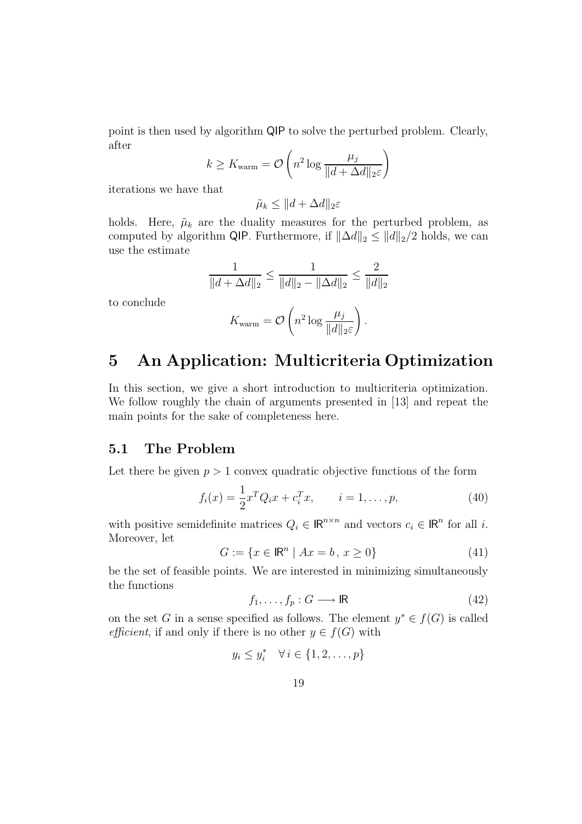point is then used by algorithm QIP to solve the perturbed problem. Clearly, after

$$
k \geq K_{\text{warm}} = \mathcal{O}\left(n^2 \log \frac{\mu_j}{\|d + \Delta d\|_2 \varepsilon}\right)
$$

iterations we have that

$$
\tilde{\mu}_k \le ||d + \Delta d||_2 \varepsilon
$$

holds. Here,  $\tilde{\mu}_k$  are the duality measures for the perturbed problem, as computed by algorithm QIP. Furthermore, if  $\|\Delta d\|_2 \leq \|d\|_2/2$  holds, we can use the estimate

$$
\frac{1}{\|d + \Delta d\|_2} \le \frac{1}{\|d\|_2 - \|\Delta d\|_2} \le \frac{2}{\|d\|_2}
$$

to conclude

$$
K_{\text{warm}} = \mathcal{O}\left(n^2 \log \frac{\mu_j}{\|d\|_2 \varepsilon}\right).
$$

## 5 An Application: Multicriteria Optimization

In this section, we give a short introduction to multicriteria optimization. We follow roughly the chain of arguments presented in [13] and repeat the main points for the sake of completeness here.

#### 5.1 The Problem

Let there be given  $p > 1$  convex quadratic objective functions of the form

$$
f_i(x) = \frac{1}{2}x^T Q_i x + c_i^T x, \qquad i = 1, \dots, p,
$$
 (40)

with positive semidefinite matrices  $Q_i \in \mathbb{R}^{n \times n}$  and vectors  $c_i \in \mathbb{R}^n$  for all *i*. Moreover, let

$$
G := \{ x \in \mathbb{R}^n \mid Ax = b, \, x \ge 0 \}
$$
 (41)

be the set of feasible points. We are interested in minimizing simultaneously the functions

$$
f_1, \dots, f_p : G \longrightarrow \mathbb{R} \tag{42}
$$

on the set G in a sense specified as follows. The element  $y^* \in f(G)$  is called efficient, if and only if there is no other  $y \in f(G)$  with

$$
y_i \le y_i^* \quad \forall \, i \in \{1, 2, \dots, p\}
$$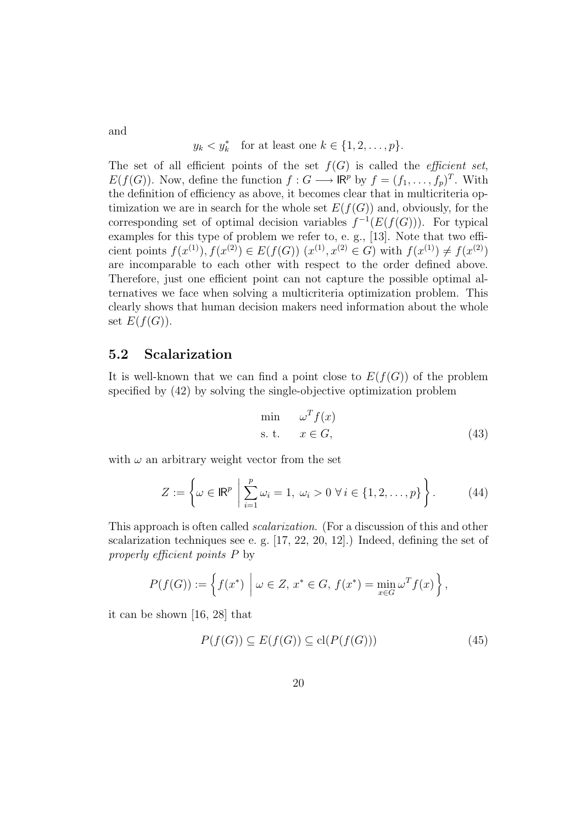$$
y_k < y_k^* \quad \text{for at least one } k \in \{1, 2, \dots, p\}.
$$

The set of all efficient points of the set  $f(G)$  is called the *efficient set*,  $E(f(G))$ . Now, define the function  $f: G \longrightarrow \mathbb{R}^p$  by  $f = (f_1, \ldots, f_p)^T$ . With the definition of efficiency as above, it becomes clear that in multicriteria optimization we are in search for the whole set  $E(f(G))$  and, obviously, for the corresponding set of optimal decision variables  $f^{-1}(E(f(G)))$ . For typical examples for this type of problem we refer to, e. g., [13]. Note that two efficient points  $f(x^{(1)}), f(x^{(2)}) \in E(f(G))$   $(x^{(1)}, x^{(2)} \in G)$  with  $f(x^{(1)}) \neq f(x^{(2)})$ are incomparable to each other with respect to the order defined above. Therefore, just one efficient point can not capture the possible optimal alternatives we face when solving a multicriteria optimization problem. This clearly shows that human decision makers need information about the whole set  $E(f(G))$ .

#### 5.2 Scalarization

It is well-known that we can find a point close to  $E(f(G))$  of the problem specified by (42) by solving the single-objective optimization problem

$$
\min \quad \omega^T f(x) \n\text{s. t.} \quad x \in G,
$$
\n(43)

with  $\omega$  an arbitrary weight vector from the set

$$
Z := \left\{ \omega \in \mathbb{R}^p \; \left| \; \sum_{i=1}^p \omega_i = 1, \; \omega_i > 0 \; \forall \, i \in \{1, 2, \dots, p\} \right. \right\}.
$$
 (44)

This approach is often called *scalarization*. (For a discussion of this and other scalarization techniques see e. g. [17, 22, 20, 12].) Indeed, defining the set of properly efficient points P by

$$
P(f(G)) := \left\{ f(x^*) \mid \omega \in Z, x^* \in G, f(x^*) = \min_{x \in G} \omega^T f(x) \right\},\
$$

it can be shown [16, 28] that

$$
P(f(G)) \subseteq E(f(G)) \subseteq \mathrm{cl}(P(f(G)))\tag{45}
$$

and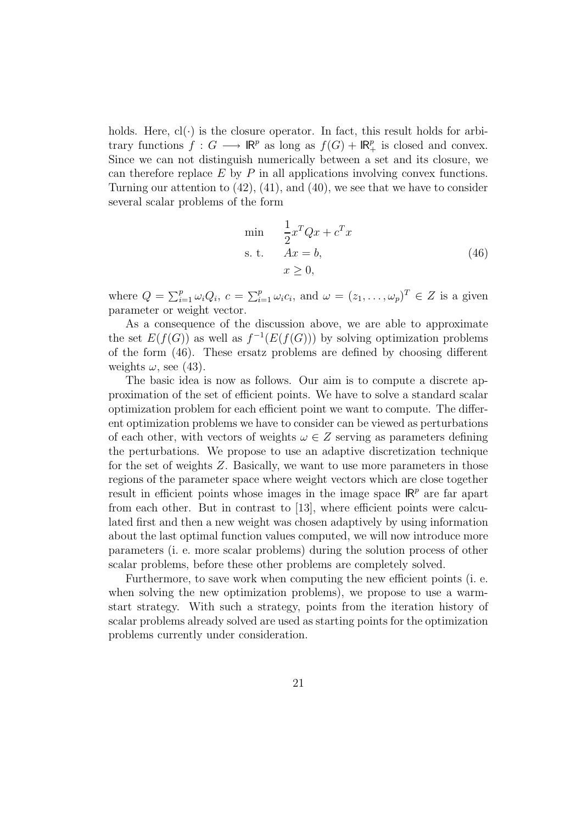holds. Here,  $cl(\cdot)$  is the closure operator. In fact, this result holds for arbitrary functions  $f: G \longrightarrow \mathbb{R}^p$  as long as  $f(G) + \mathbb{R}^p_+$  is closed and convex. Since we can not distinguish numerically between a set and its closure, we can therefore replace  $E$  by  $P$  in all applications involving convex functions. Turning our attention to (42), (41), and (40), we see that we have to consider several scalar problems of the form

$$
\begin{array}{ll}\n\min & \frac{1}{2}x^T Q x + c^T x \\
\text{s. t.} & Ax = b, \\
x \ge 0,\n\end{array} \tag{46}
$$

where  $Q = \sum_{i=1}^p \omega_i Q_i$ ,  $c = \sum_{i=1}^p \omega_i c_i$ , and  $\omega = (z_1, \dots, \omega_p)^T \in Z$  is a given parameter or weight vector.

As a consequence of the discussion above, we are able to approximate the set  $E(f(G))$  as well as  $f^{-1}(E(f(G)))$  by solving optimization problems of the form (46). These ersatz problems are defined by choosing different weights  $\omega$ , see (43).

The basic idea is now as follows. Our aim is to compute a discrete approximation of the set of efficient points. We have to solve a standard scalar optimization problem for each efficient point we want to compute. The different optimization problems we have to consider can be viewed as perturbations of each other, with vectors of weights  $\omega \in Z$  serving as parameters defining the perturbations. We propose to use an adaptive discretization technique for the set of weights Z. Basically, we want to use more parameters in those regions of the parameter space where weight vectors which are close together result in efficient points whose images in the image space  $\mathsf{IR}^p$  are far apart from each other. But in contrast to [13], where efficient points were calculated first and then a new weight was chosen adaptively by using information about the last optimal function values computed, we will now introduce more parameters (i. e. more scalar problems) during the solution process of other scalar problems, before these other problems are completely solved.

Furthermore, to save work when computing the new efficient points (i. e. when solving the new optimization problems), we propose to use a warmstart strategy. With such a strategy, points from the iteration history of scalar problems already solved are used as starting points for the optimization problems currently under consideration.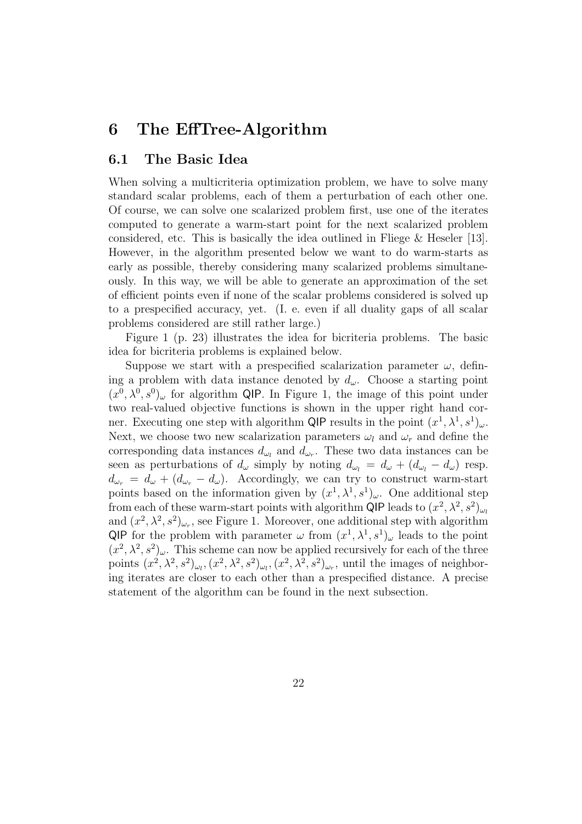### 6 The EffTree-Algorithm

#### 6.1 The Basic Idea

When solving a multicriteria optimization problem, we have to solve many standard scalar problems, each of them a perturbation of each other one. Of course, we can solve one scalarized problem first, use one of the iterates computed to generate a warm-start point for the next scalarized problem considered, etc. This is basically the idea outlined in Fliege & Heseler [13]. However, in the algorithm presented below we want to do warm-starts as early as possible, thereby considering many scalarized problems simultaneously. In this way, we will be able to generate an approximation of the set of efficient points even if none of the scalar problems considered is solved up to a prespecified accuracy, yet. (I. e. even if all duality gaps of all scalar problems considered are still rather large.)

Figure 1 (p. 23) illustrates the idea for bicriteria problems. The basic idea for bicriteria problems is explained below.

Suppose we start with a prespecified scalarization parameter  $\omega$ , defining a problem with data instance denoted by  $d_{\omega}$ . Choose a starting point  $(x^0, \lambda^0, s^0)$  for algorithm QIP. In Figure 1, the image of this point under two real-valued objective functions is shown in the upper right hand corner. Executing one step with algorithm QIP results in the point  $(x^1, \lambda^1, s^1)_{\omega}$ . Next, we choose two new scalarization parameters  $\omega_l$  and  $\omega_r$  and define the corresponding data instances  $d_{\omega_l}$  and  $d_{\omega_r}$ . These two data instances can be seen as perturbations of  $d_{\omega}$  simply by noting  $d_{\omega_l} = d_{\omega} + (d_{\omega_l} - d_{\omega})$  resp.  $d_{\omega_r} = d_{\omega} + (d_{\omega_r} - d_{\omega})$ . Accordingly, we can try to construct warm-start points based on the information given by  $(x^1, \lambda^1, s^1)_{\omega}$ . One additional step from each of these warm-start points with algorithm QIP leads to  $(x^2, \lambda^2, s^2)_{\omega_l}$ and  $(x^2, \lambda^2, s^2)_{\omega_r}$ , see Figure 1. Moreover, one additional step with algorithm QIP for the problem with parameter  $\omega$  from  $(x^1, \lambda^1, s^1)_{\omega}$  leads to the point  $(x^2, \lambda^2, s^2)$ <sub>ω</sub>. This scheme can now be applied recursively for each of the three points  $(x^2, \lambda^2, s^2)_{\omega_l}$ ,  $(x^2, \lambda^2, s^2)_{\omega_l}$ ,  $(x^2, \lambda^2, s^2)_{\omega_r}$ , until the images of neighboring iterates are closer to each other than a prespecified distance. A precise statement of the algorithm can be found in the next subsection.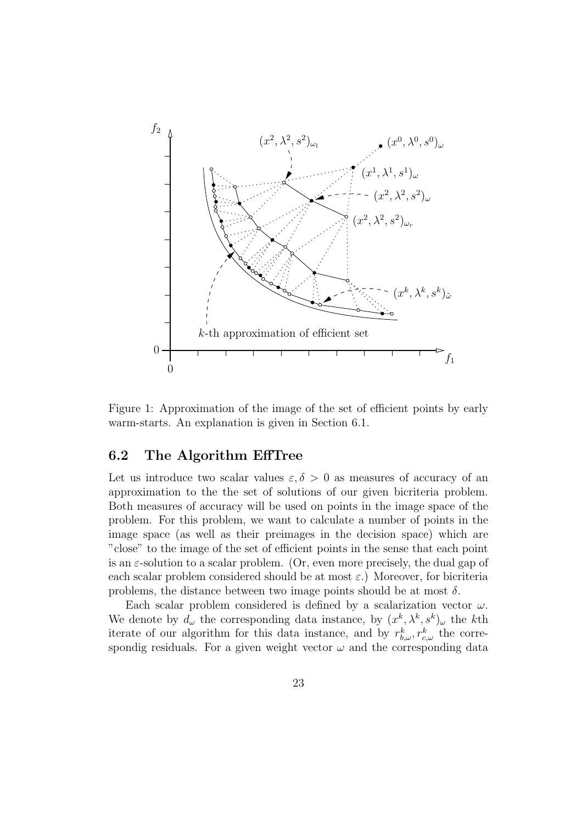

Figure 1: Approximation of the image of the set of efficient points by early warm-starts. An explanation is given in Section 6.1.

#### 6.2 The Algorithm EffTree

Let us introduce two scalar values  $\varepsilon, \delta > 0$  as measures of accuracy of an approximation to the the set of solutions of our given bicriteria problem. Both measures of accuracy will be used on points in the image space of the problem. For this problem, we want to calculate a number of points in the image space (as well as their preimages in the decision space) which are "close" to the image of the set of efficient points in the sense that each point is an  $\varepsilon$ -solution to a scalar problem. (Or, even more precisely, the dual gap of each scalar problem considered should be at most  $\varepsilon$ .) Moreover, for bicriteria problems, the distance between two image points should be at most  $\delta$ .

Each scalar problem considered is defined by a scalarization vector  $\omega$ . We denote by  $d_{\omega}$  the corresponding data instance, by  $(x^k, \lambda^k, s^k)_{\omega}$  the kth iterate of our algorithm for this data instance, and by  $r_{b,\omega}^k$ ,  $r_{c,\omega}^k$  the correspondig residuals. For a given weight vector  $\omega$  and the corresponding data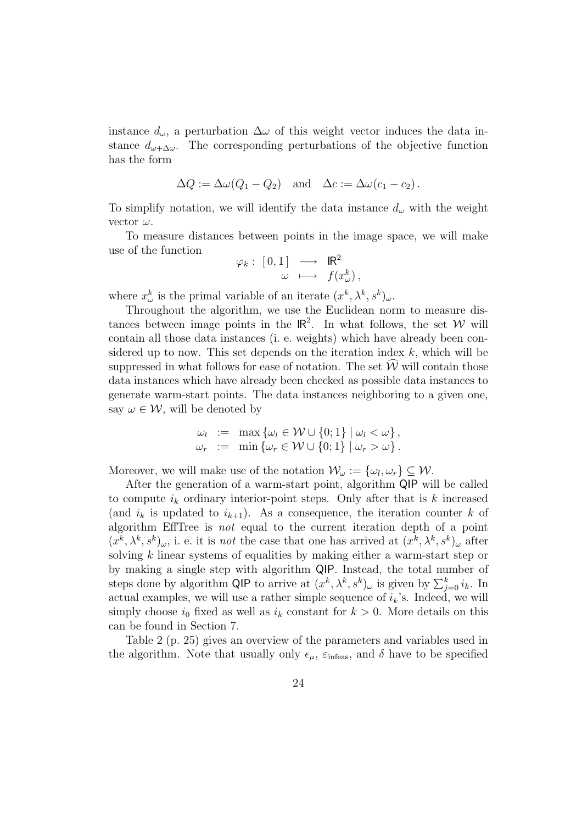instance  $d_{\omega}$ , a perturbation  $\Delta \omega$  of this weight vector induces the data instance  $d_{\omega+\Delta\omega}$ . The corresponding perturbations of the objective function has the form

$$
\Delta Q := \Delta \omega (Q_1 - Q_2) \quad \text{and} \quad \Delta c := \Delta \omega (c_1 - c_2).
$$

To simplify notation, we will identify the data instance  $d_{\omega}$  with the weight vector  $\omega$ .

To measure distances between points in the image space, we will make use of the function

$$
\varphi_k: [0,1] \longrightarrow \mathbb{R}^2
$$
  

$$
\omega \longmapsto f(x_\omega^k),
$$

where  $x_{\omega}^k$  is the primal variable of an iterate  $(x^k, \lambda^k, s^k)_{\omega}$ .

Throughout the algorithm, we use the Euclidean norm to measure distances between image points in the  $\mathbb{R}^2$ . In what follows, the set W will contain all those data instances (i. e. weights) which have already been considered up to now. This set depends on the iteration index  $k$ , which will be suppressed in what follows for ease of notation. The set  $\hat{W}$  will contain those data instances which have already been checked as possible data instances to generate warm-start points. The data instances neighboring to a given one, say  $\omega \in \mathcal{W}$ , will be denoted by

$$
\omega_l := \max \{ \omega_l \in \mathcal{W} \cup \{0; 1\} \mid \omega_l < \omega \},
$$
  

$$
\omega_r := \min \{ \omega_r \in \mathcal{W} \cup \{0; 1\} \mid \omega_r > \omega \}.
$$

Moreover, we will make use of the notation  $\mathcal{W}_{\omega} := \{\omega_l, \omega_r\} \subseteq \mathcal{W}$ .

After the generation of a warm-start point, algorithm QIP will be called to compute  $i_k$  ordinary interior-point steps. Only after that is  $k$  increased (and  $i_k$  is updated to  $i_{k+1}$ ). As a consequence, the iteration counter k of algorithm EffTree is not equal to the current iteration depth of a point  $(x^k, \lambda^k, s^k)_{\omega}$ , i. e. it is *not* the case that one has arrived at  $(x^k, \lambda^k, s^k)_{\omega}$  after solving k linear systems of equalities by making either a warm-start step or by making a single step with algorithm QIP. Instead, the total number of steps done by algorithm QIP to arrive at  $(x^k, \lambda^k, s^k)_{\omega}$  is given by  $\sum_{j=0}^k i_k$ . In actual examples, we will use a rather simple sequence of  $i_k$ 's. Indeed, we will simply choose  $i_0$  fixed as well as  $i_k$  constant for  $k > 0$ . More details on this can be found in Section 7.

Table 2 (p. 25) gives an overview of the parameters and variables used in the algorithm. Note that usually only  $\epsilon_{\mu}$ ,  $\varepsilon_{\text{infeas}}$ , and  $\delta$  have to be specified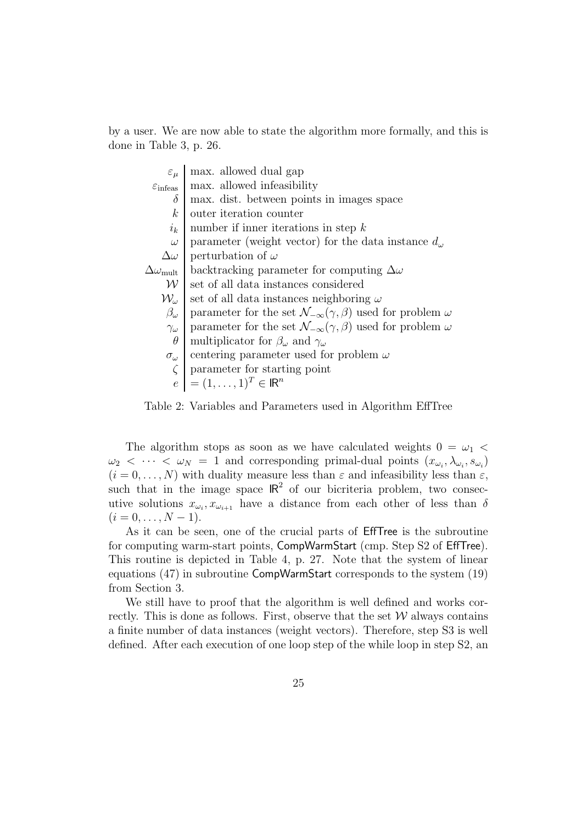by a user. We are now able to state the algorithm more formally, and this is done in Table 3, p. 26.

$$
\varepsilon_{\mu}
$$
 max. allowed dual gap  
\n
$$
\varepsilon_{\text{infeas}} \begin{cases}\n\text{max. allowed infeasibility} \\
\text{max. dist. between points in images space} \\
k\n\end{cases}
$$
\n
$$
\begin{cases}\n\omega \\ \text{outer iteration counter} \\
\omega \\ \text{parameter (weight vector) for the data instance } d_{\omega} \\
\Delta \omega \\ \text{perturbation of } \omega\n\end{cases}
$$
\n
$$
\Delta \omega_{\text{mult}}
$$
\n
$$
\Delta \omega_{\text{mult}}
$$
\n
$$
\Delta \omega_{\text{mult}}
$$
\n
$$
\Delta \omega_{\text{mult}}
$$
\n
$$
\Delta \omega_{\text{mult}}
$$
\n
$$
\Delta \omega_{\text{mult}}
$$
\n
$$
\Delta \omega_{\text{int}}
$$
\n
$$
\Delta \omega_{\text{int}}
$$
\n
$$
\Delta \omega_{\text{int}}
$$
\n
$$
\Delta \omega_{\text{int}}
$$
\n
$$
\Delta \omega_{\text{int}}
$$
\n
$$
\Delta \omega_{\text{int}}
$$
\n
$$
\Delta \omega_{\text{int}}
$$
\n
$$
\Delta \omega_{\text{int}}
$$
\n
$$
\Delta \omega_{\text{int}}
$$
\n
$$
\Delta \omega_{\text{int}}
$$
\n
$$
\Delta \omega_{\text{int}}
$$
\n
$$
\Delta \omega_{\text{int}}
$$
\n
$$
\Delta \omega_{\text{int}}
$$
\n
$$
\Delta \omega_{\text{int}}
$$
\n
$$
\Delta \omega_{\text{int}}
$$
\n
$$
\Delta \omega_{\text{int}}
$$
\n
$$
\Delta \omega_{\text{int}}
$$
\n
$$
\Delta \omega_{\text{int}}
$$
\n
$$
\Delta \omega_{\text{int}}
$$
\n
$$
\Delta \omega_{\text{int}}
$$
\n
$$
\Delta \omega_{\text{int}}
$$
\n
$$
\Delta \omega_{\text{int}}
$$
\n
$$
\Delta \omega_{\text{int}}
$$
\n
$$
\Delta \omega_{\text{int}}
$$
\n
$$
\Delta \omega_{\text{int}}
$$
\n
$$
\Delta \omega_{\text{int}}
$$
\n
$$
\Delta \omega_{\text{int}}
$$
\n
$$
\Delta \omega_{\text{int}}
$$
\n
$$
\
$$

Table 2: Variables and Parameters used in Algorithm EffTree

The algorithm stops as soon as we have calculated weights  $0 = \omega_1$  $\omega_2 < \cdots < \omega_N = 1$  and corresponding primal-dual points  $(x_{\omega_i}, \lambda_{\omega_i}, s_{\omega_i})$  $(i = 0, \ldots, N)$  with duality measure less than  $\varepsilon$  and infeasibility less than  $\varepsilon$ , such that in the image space  $\mathbb{R}^2$  of our bicriteria problem, two consecutive solutions  $x_{\omega_i}, x_{\omega_{i+1}}$  have a distance from each other of less than  $\delta$  $(i = 0, \ldots, N - 1).$ 

As it can be seen, one of the crucial parts of EffTree is the subroutine for computing warm-start points, CompWarmStart (cmp. Step S2 of EffTree). This routine is depicted in Table 4, p. 27. Note that the system of linear equations (47) in subroutine CompWarmStart corresponds to the system (19) from Section 3.

We still have to proof that the algorithm is well defined and works correctly. This is done as follows. First, observe that the set  $W$  always contains a finite number of data instances (weight vectors). Therefore, step S3 is well defined. After each execution of one loop step of the while loop in step S2, an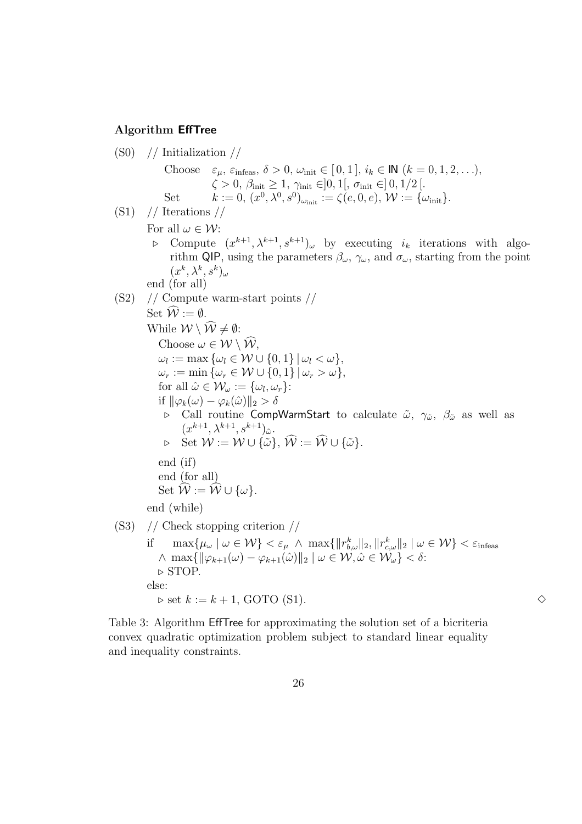#### Algorithm EffTree

 $(S0)$  // Initialization // Choose  $\varepsilon_{\mu}$ ,  $\varepsilon_{\text{infeas}}, \delta > 0$ ,  $\omega_{\text{init}} \in [0, 1], i_k \in \mathbb{N} \ (k = 0, 1, 2, \ldots),$  $\zeta > 0, \, \beta_{\rm init} \geq 1, \, \gamma_{\rm init} \in ]0,1[,\, \sigma_{\rm init} \in ]\,0,1/2\,[.$ Set  $k := 0, (x^0, \lambda^0, s^0)_{\omega_{\text{init}}} := \zeta(e, 0, e), \mathcal{W} := \{\omega_{\text{init}}\}.$  $(S1)$  // Iterations // For all  $\omega \in \mathcal{W}$ :  $\triangleright$  Compute  $(x^{k+1}, \lambda^{k+1}, s^{k+1})_{\omega}$  by executing  $i_k$  iterations with algorithm QIP, using the parameters  $\beta_{\omega}$ ,  $\gamma_{\omega}$ , and  $\sigma_{\omega}$ , starting from the point  $(x^k, \lambda^k, s^k)_{\omega}$ end (for all) (S2) // Compute warm-start points // Set  $\widehat{\mathcal{W}} := \emptyset$ . While  $W \setminus \widehat{W} \neq \emptyset$ : Choose  $\omega \in \mathcal{W} \setminus \widehat{\mathcal{W}}$ ,  $\omega_l := \max \{\omega_l \in \mathcal{W} \cup \{0, 1\} \,|\, \omega_l < \omega\},\$  $\omega_r := \min \{ \omega_r \in \mathcal{W} \cup \{0, 1\} \, | \, \omega_r > \omega \},\$ for all  $\hat{\omega} \in \mathcal{W}_{\omega} := {\omega_l, \omega_r}$ : if  $\|\varphi_k(\omega) - \varphi_k(\hat{\omega})\|_2 > \delta$  $\triangleright$  Call routine CompWarmStart to calculate  $\tilde{\omega}$ ,  $\gamma_{\tilde{\omega}}$ ,  $\beta_{\tilde{\omega}}$  as well as  $(x^{k+1}, \lambda^{k+1}, s^{k+1})_{\tilde{\omega}}.$  $\triangleright \quad \text{Set } \mathcal{W} := \mathcal{W} \cup \{\tilde{\omega}\}, \ \widehat{\mathcal{W}} := \widehat{\mathcal{W}} \cup \{\tilde{\omega}\}.$ end (if) end (for all) Set  $\hat{W} := \hat{W} \cup \{\omega\}.$ end (while) (S3) // Check stopping criterion //  $\text{if} \quad \max \{ \mu_\omega \mid \omega \in \mathcal{W} \} < \varepsilon_\mu \ \wedge \ \max \{ \| r_{b,\omega}^k \|_2, \| r_{c,\omega}^k \|_2 \mid \omega \in \mathcal{W} \} < \varepsilon_{\text{infeas}}$  $\wedge \max\{\|\varphi_{k+1}(\omega) - \varphi_{k+1}(\omega)\|_2 \mid \omega \in \mathcal{W}, \omega \in \mathcal{W}_{\omega}\} < \delta$ :  $\triangleright$  STOP. else:  $\triangleright$  set  $k := k + 1$ , GOTO (S1).

Table 3: Algorithm EffTree for approximating the solution set of a bicriteria convex quadratic optimization problem subject to standard linear equality and inequality constraints.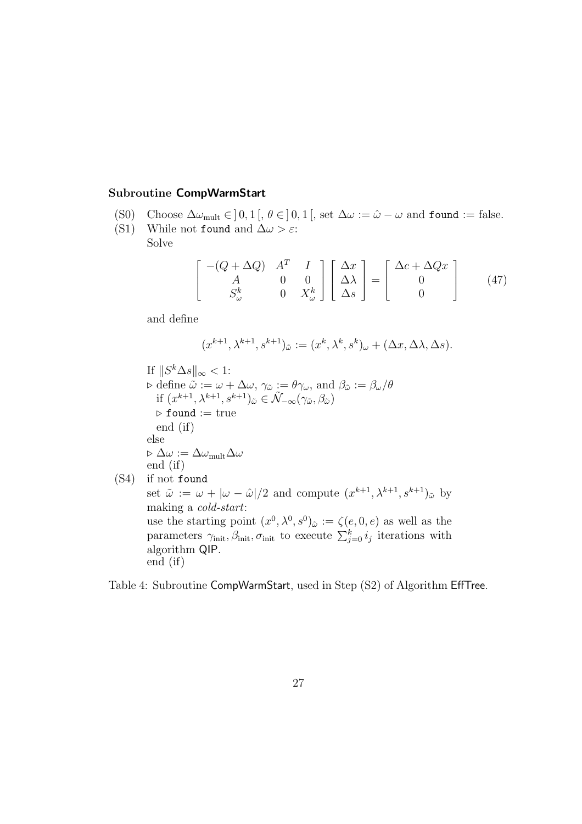#### Subroutine CompWarmStart

- (S0) Choose  $\Delta \omega_{\text{mult}} \in ]0,1[$ ,  $\theta \in ]0,1[$ , set  $\Delta \omega := \hat{\omega} \omega$  and found := false.<br>(S1) While not found and  $\Delta \omega > \varepsilon$ :
- While not found and  $\Delta\omega > \varepsilon$ : Solve

$$
\begin{bmatrix} -(Q + \Delta Q) & A^T & I \\ A & 0 & 0 \\ S^k_{\omega} & 0 & X^k_{\omega} \end{bmatrix} \begin{bmatrix} \Delta x \\ \Delta \lambda \\ \Delta s \end{bmatrix} = \begin{bmatrix} \Delta c + \Delta Qx \\ 0 \\ 0 \end{bmatrix}
$$
 (47)

and define

algorithm QIP.

end (if)

$$
(x^{k+1}, \lambda^{k+1}, s^{k+1})_{\tilde{\omega}} := (x^k, \lambda^k, s^k)_{\omega} + (\Delta x, \Delta \lambda, \Delta s).
$$

If  $||S^k \Delta s||_{\infty} < 1$ :  $\triangleright$  define  $\ddot{\omega} := \omega + \Delta \omega$ ,  $\gamma_{\tilde{\omega}} := \theta \gamma_{\omega}$ , and  $\beta_{\tilde{\omega}} := \beta_{\omega}/\theta$ if  $(x^{k+1}, \lambda^{k+1}, s^{k+1})_{\tilde{\omega}} \in \tilde{\mathcal{N}}_{-\infty}(\gamma_{\tilde{\omega}}, \beta_{\tilde{\omega}})$  $\triangleright$  found := true end (if) else  $\triangleright \Delta\omega := \Delta\omega_{\rm mult}\Delta\omega$ end (if) (S4) if not found set  $\tilde{\omega} := \omega + |\omega - \hat{\omega}|/2$  and compute  $(x^{k+1}, \lambda^{k+1}, s^{k+1})_{\tilde{\omega}}$  by making a cold-start: use the starting point  $(x^0, \lambda^0, s^0)_{\tilde{\omega}} := \zeta(e, 0, e)$  as well as the parameters  $\gamma_{\text{init}}, \beta_{\text{init}}$ ,  $\sigma_{\text{init}}$  to execute  $\sum_{j=0}^{k} i_j$  iterations with

Table 4: Subroutine CompWarmStart, used in Step (S2) of Algorithm EffTree.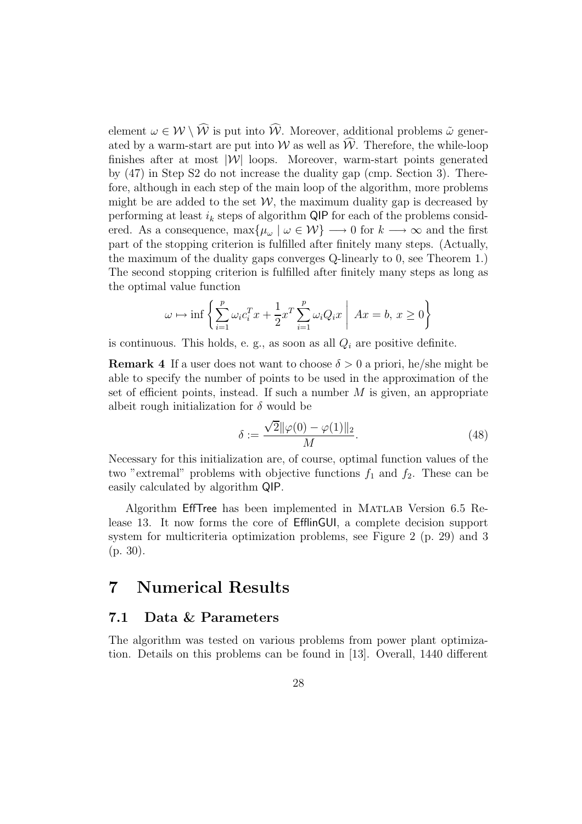element  $\omega \in \mathcal{W} \setminus \widehat{\mathcal{W}}$  is put into  $\widehat{\mathcal{W}}$ . Moreover, additional problems  $\tilde{\omega}$  generated by a warm-start are put into W as well as  $\widehat{W}$ . Therefore, the while-loop finishes after at most  $|\mathcal{W}|$  loops. Moreover, warm-start points generated by (47) in Step S2 do not increase the duality gap (cmp. Section 3). Therefore, although in each step of the main loop of the algorithm, more problems might be are added to the set  $W$ , the maximum duality gap is decreased by performing at least  $i_k$  steps of algorithm QIP for each of the problems considered. As a consequence,  $\max{\mu_\omega \mid \omega \in \mathcal{W}} \longrightarrow 0$  for  $k \longrightarrow \infty$  and the first part of the stopping criterion is fulfilled after finitely many steps. (Actually, the maximum of the duality gaps converges Q-linearly to 0, see Theorem 1.) The second stopping criterion is fulfilled after finitely many steps as long as the optimal value function

$$
\omega \mapsto \inf \left\{ \sum_{i=1}^{p} \omega_i c_i^T x + \frac{1}{2} x^T \sum_{i=1}^{p} \omega_i Q_i x \middle| \ Ax = b, \ x \ge 0 \right\}
$$

is continuous. This holds, e. g., as soon as all  $Q_i$  are positive definite.

**Remark 4** If a user does not want to choose  $\delta > 0$  a priori, he/she might be able to specify the number of points to be used in the approximation of the set of efficient points, instead. If such a number  $M$  is given, an appropriate albeit rough initialization for  $\delta$  would be

$$
\delta := \frac{\sqrt{2} \|\varphi(0) - \varphi(1)\|_2}{M}.
$$
\n(48)

Necessary for this initialization are, of course, optimal function values of the two "extremal" problems with objective functions  $f_1$  and  $f_2$ . These can be easily calculated by algorithm QIP.

Algorithm EffTree has been implemented in Matlab Version 6.5 Release 13. It now forms the core of EfflinGUI, a complete decision support system for multicriteria optimization problems, see Figure 2 (p. 29) and 3 (p. 30).

## 7 Numerical Results

#### 7.1 Data & Parameters

The algorithm was tested on various problems from power plant optimization. Details on this problems can be found in [13]. Overall, 1440 different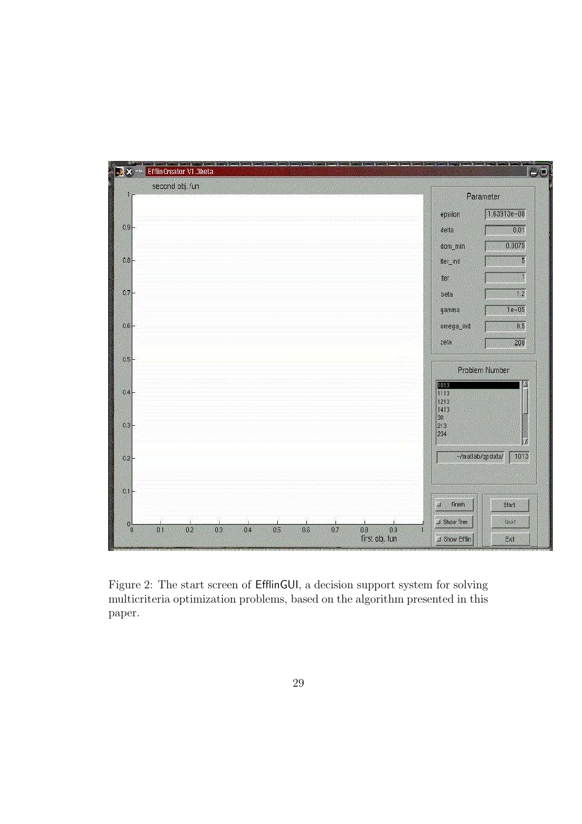

Figure 2: The start screen of EfflinGUI, a decision support system for solving multicriteria optimization problems, based on the algorithm presented in this paper.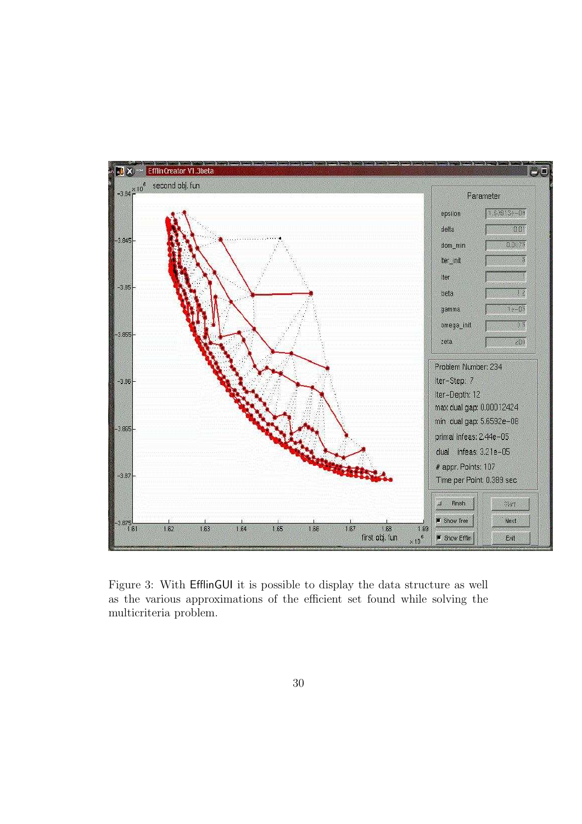

Figure 3: With EfflinGUI it is possible to display the data structure as well as the various approximations of the efficient set found while solving the multicriteria problem.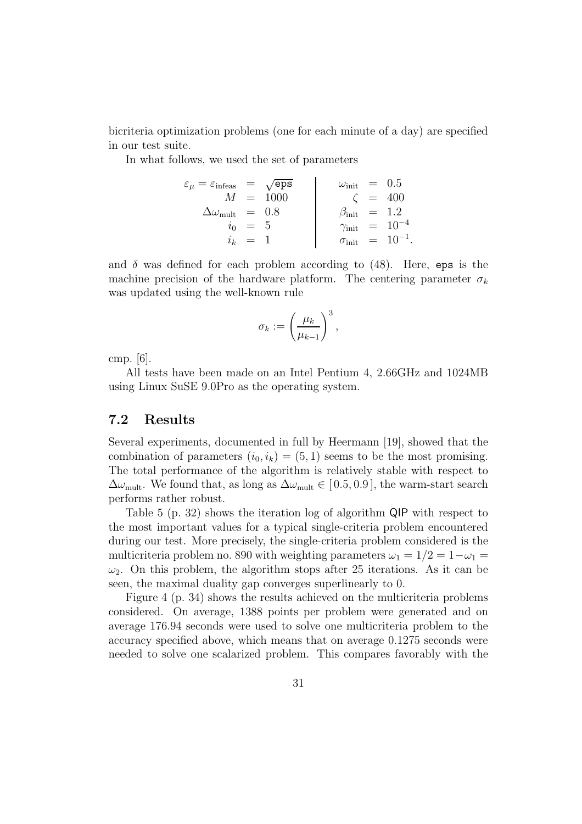bicriteria optimization problems (one for each minute of a day) are specified in our test suite.

In what follows, we used the set of parameters

$$
\varepsilon_{\mu} = \varepsilon_{\text{infeas}} = \sqrt{\text{eps}} \qquad \qquad \omega_{\text{init}} = 0.5
$$
\n
$$
\Delta \omega_{\text{mult}} = 0.8 \qquad \qquad \beta_{\text{init}} = 1.2
$$
\n
$$
i_0 = 5 \qquad \qquad \gamma_{\text{init}} = 10^{-4}
$$
\n
$$
i_k = 1 \qquad \qquad \sigma_{\text{init}} = 10^{-1}
$$

.

and  $\delta$  was defined for each problem according to (48). Here, eps is the machine precision of the hardware platform. The centering parameter  $\sigma_k$ was updated using the well-known rule

$$
\sigma_k := \left(\frac{\mu_k}{\mu_{k-1}}\right)^3,
$$

cmp. [6].

All tests have been made on an Intel Pentium 4, 2.66GHz and 1024MB using Linux SuSE 9.0Pro as the operating system.

#### 7.2 Results

Several experiments, documented in full by Heermann [19], showed that the combination of parameters  $(i_0, i_k) = (5, 1)$  seems to be the most promising. The total performance of the algorithm is relatively stable with respect to  $\Delta\omega_{\text{mult}}$ . We found that, as long as  $\Delta\omega_{\text{mult}} \in [0.5, 0.9]$ , the warm-start search performs rather robust.

Table 5 (p. 32) shows the iteration log of algorithm QIP with respect to the most important values for a typical single-criteria problem encountered during our test. More precisely, the single-criteria problem considered is the multicriteria problem no. 890 with weighting parameters  $\omega_1 = 1/2 = 1-\omega_1 =$  $\omega_2$ . On this problem, the algorithm stops after 25 iterations. As it can be seen, the maximal duality gap converges superlinearly to 0.

Figure 4 (p. 34) shows the results achieved on the multicriteria problems considered. On average, 1388 points per problem were generated and on average 176.94 seconds were used to solve one multicriteria problem to the accuracy specified above, which means that on average 0.1275 seconds were needed to solve one scalarized problem. This compares favorably with the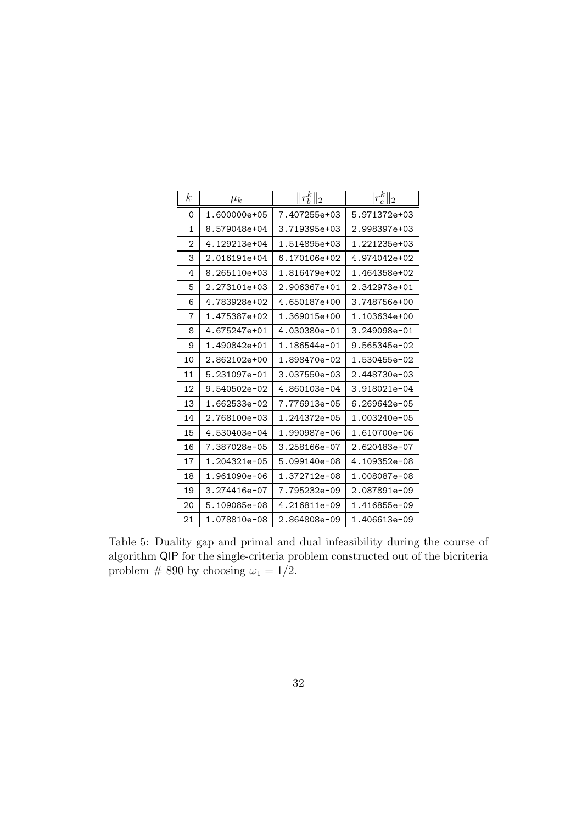| $\boldsymbol{k}$ | $\mu_k$           | $  r_h^k  _2$    | $  r_c^k  _2$    |
|------------------|-------------------|------------------|------------------|
| 0                | 1.600000e+05      | 7.407255e+03     | 5.971372e+03     |
| $\mathbf{1}$     | 8.579048e+04      | $3.719395e + 03$ | $2.998397e+03$   |
| 2                | 4.129213e+04      | 1.514895e+03     | $1.221235e+03$   |
| 3                | 2.016191e+04      | 6.170106e+02     | 4.974042e+02     |
| 4                | $8.265110e + 0.3$ | 1.816479e+02     | 1.464358e+02     |
| 5                | 2.273101e+03      | 2.906367e+01     | 2.342973e+01     |
| 6                | 4.783928e+02      | 4.650187e+00     | 3.748756e+00     |
| 7                | 1.475387e+02      | 1.369015e+00     | 1.103634e+00     |
| 8                | 4.675247e+01      | 4.030380e-01     | 3.249098e-01     |
| 9                | $1.490842e+01$    | 1.186544e-01     | 9.565345e-02     |
| 10               | 2.862102e+00      | 1.898470e-02     | 1.530455e-02     |
| 11               | 5.231097e-01      | 3.037550e-03     | 2.448730e-03     |
| 12               | $9.540502e-02$    | 4.860103e-04     | 3.918021e-04     |
| 13               | 1.662533e-02      | 7.776913e-05     | 6.269642e-05     |
| 14               | $2.768100e - 03$  | 1.244372e-05     | $1.003240e - 05$ |
| 15               | 4.530403e-04      | 1.990987e-06     | 1.610700e-06     |
| 16               | 7.387028e-05      | $3.258166e - 07$ | 2.620483e-07     |
| 17               | $1.204321e - 05$  | 5.099140e-08     | $4.109352e - 08$ |
| 18               | 1.961090e-06      | 1.372712e-08     | 1.008087e-08     |
| 19               | $3.274416e - 07$  | 7.795232e-09     | $2.087891e - 09$ |
| 20               | 5.109085e-08      | 4.216811e-09     | 1.416855e-09     |
| 21               | 1.078810e-08      | 2.864808e-09     | 1.406613e-09     |

Table 5: Duality gap and primal and dual infeasibility during the course of algorithm $\mathsf{QIP}$  for the single-criteria problem constructed out of the bicriteria problem # 890 by choosing  $\omega_1 = 1/2$ .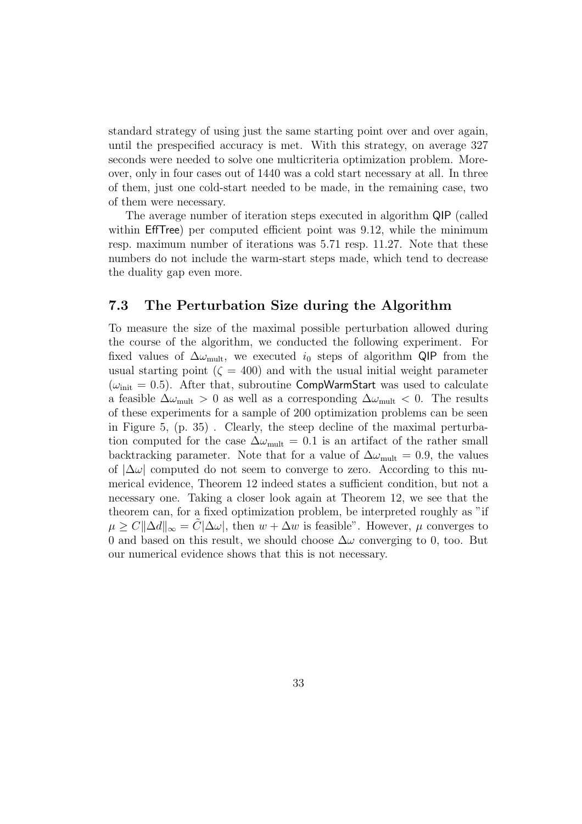standard strategy of using just the same starting point over and over again, until the prespecified accuracy is met. With this strategy, on average 327 seconds were needed to solve one multicriteria optimization problem. Moreover, only in four cases out of 1440 was a cold start necessary at all. In three of them, just one cold-start needed to be made, in the remaining case, two of them were necessary.

The average number of iteration steps executed in algorithm QIP (called within EffTree) per computed efficient point was 9.12, while the minimum resp. maximum number of iterations was 5.71 resp. 11.27. Note that these numbers do not include the warm-start steps made, which tend to decrease the duality gap even more.

#### 7.3 The Perturbation Size during the Algorithm

To measure the size of the maximal possible perturbation allowed during the course of the algorithm, we conducted the following experiment. For fixed values of  $\Delta\omega_{\text{mult}}$ , we executed  $i_0$  steps of algorithm QIP from the usual starting point  $(\zeta = 400)$  and with the usual initial weight parameter  $(\omega_{\text{init}} = 0.5)$ . After that, subroutine CompWarmStart was used to calculate a feasible  $\Delta\omega_{\text{mult}} > 0$  as well as a corresponding  $\Delta\omega_{\text{mult}} < 0$ . The results of these experiments for a sample of 200 optimization problems can be seen in Figure 5, (p. 35) . Clearly, the steep decline of the maximal perturbation computed for the case  $\Delta\omega_{\text{mult}} = 0.1$  is an artifact of the rather small backtracking parameter. Note that for a value of  $\Delta\omega_{\text{mult}} = 0.9$ , the values of  $|\Delta\omega|$  computed do not seem to converge to zero. According to this numerical evidence, Theorem 12 indeed states a sufficient condition, but not a necessary one. Taking a closer look again at Theorem 12, we see that the theorem can, for a fixed optimization problem, be interpreted roughly as "if  $\mu \geq C \|\Delta d\|_{\infty} = C |\Delta \omega|$ , then  $w + \Delta w$  is feasible". However,  $\mu$  converges to 0 and based on this result, we should choose  $\Delta\omega$  converging to 0, too. But our numerical evidence shows that this is not necessary.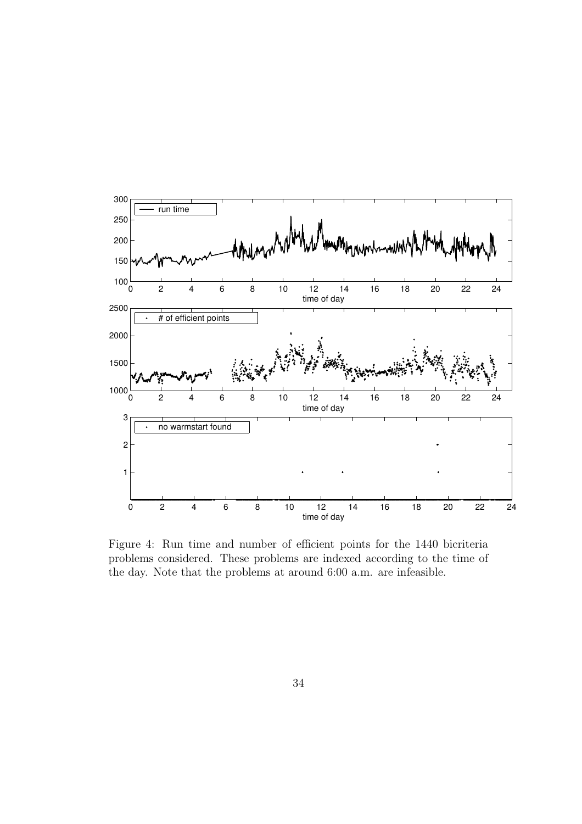

Figure 4: Run time and number of efficient points for the 1440 bicriteria problems considered. These problems are indexed according to the time of the day. Note that the problems at around 6:00 a.m. are infeasible.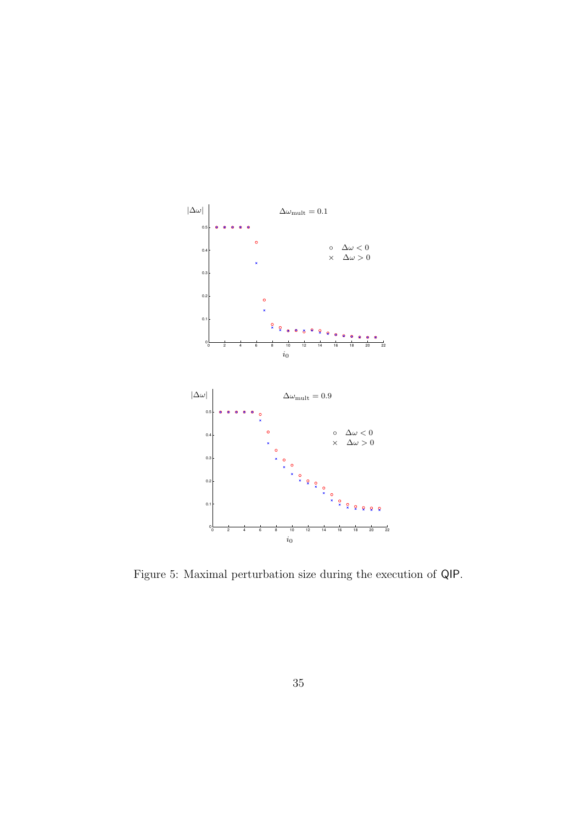

Figure 5: Maximal perturbation size during the execution of QIP.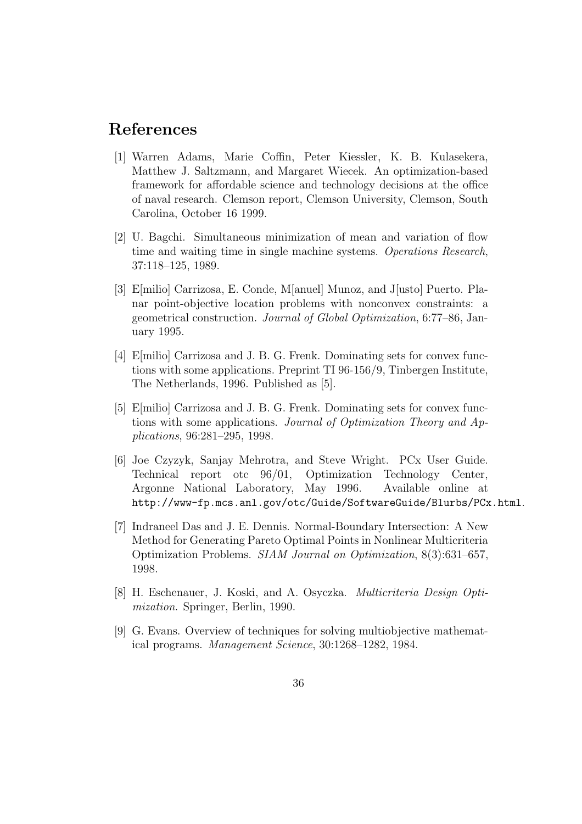## References

- [1] Warren Adams, Marie Coffin, Peter Kiessler, K. B. Kulasekera, Matthew J. Saltzmann, and Margaret Wiecek. An optimization-based framework for affordable science and technology decisions at the office of naval research. Clemson report, Clemson University, Clemson, South Carolina, October 16 1999.
- [2] U. Bagchi. Simultaneous minimization of mean and variation of flow time and waiting time in single machine systems. Operations Research, 37:118–125, 1989.
- [3] E[milio] Carrizosa, E. Conde, M[anuel] Munoz, and J[usto] Puerto. Planar point-objective location problems with nonconvex constraints: a geometrical construction. Journal of Global Optimization, 6:77–86, January 1995.
- [4] E[milio] Carrizosa and J. B. G. Frenk. Dominating sets for convex functions with some applications. Preprint TI 96-156/9, Tinbergen Institute, The Netherlands, 1996. Published as [5].
- [5] E[milio] Carrizosa and J. B. G. Frenk. Dominating sets for convex functions with some applications. Journal of Optimization Theory and Applications, 96:281–295, 1998.
- [6] Joe Czyzyk, Sanjay Mehrotra, and Steve Wright. PCx User Guide. Technical report otc 96/01, Optimization Technology Center, Argonne National Laboratory, May 1996. Available online at http://www-fp.mcs.anl.gov/otc/Guide/SoftwareGuide/Blurbs/PCx.html.
- [7] Indraneel Das and J. E. Dennis. Normal-Boundary Intersection: A New Method for Generating Pareto Optimal Points in Nonlinear Multicriteria Optimization Problems. SIAM Journal on Optimization, 8(3):631–657, 1998.
- [8] H. Eschenauer, J. Koski, and A. Osyczka. Multicriteria Design Optimization. Springer, Berlin, 1990.
- [9] G. Evans. Overview of techniques for solving multiobjective mathematical programs. Management Science, 30:1268–1282, 1984.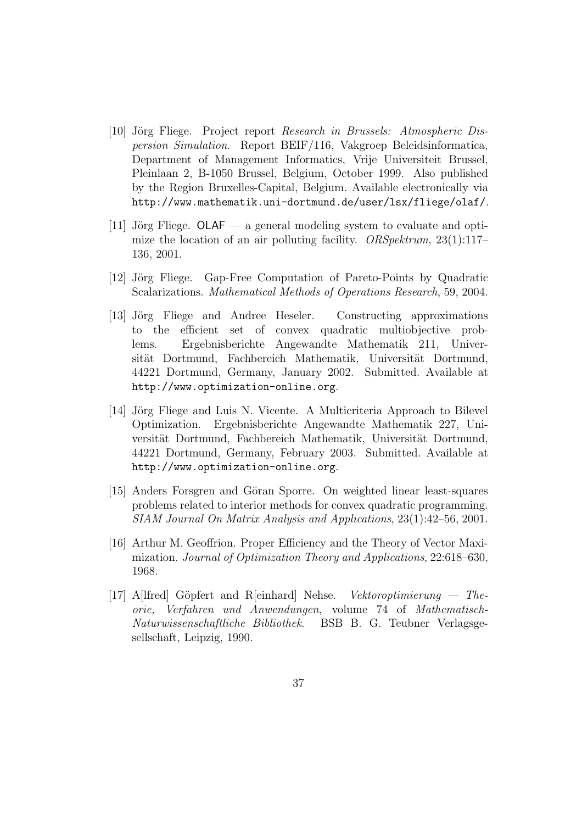- [10] Jörg Fliege. Project report Research in Brussels: Atmospheric Dispersion Simulation. Report BEIF/116, Vakgroep Beleidsinformatica, Department of Management Informatics, Vrije Universiteit Brussel, Pleinlaan 2, B-1050 Brussel, Belgium, October 1999. Also published by the Region Bruxelles-Capital, Belgium. Available electronically via http://www.mathematik.uni-dortmund.de/user/lsx/fliege/olaf/.
- [11] Jörg Fliege.  $OLAF a$  general modeling system to evaluate and optimize the location of an air polluting facility.  $ORSpektrum$ , 23(1):117– 136, 2001.
- [12] Jörg Fliege. Gap-Free Computation of Pareto-Points by Quadratic Scalarizations. Mathematical Methods of Operations Research, 59, 2004.
- [13] Jörg Fliege and Andree Heseler. Constructing approximations to the efficient set of convex quadratic multiobjective problems. Ergebnisberichte Angewandte Mathematik 211, Universität Dortmund, Fachbereich Mathematik, Universität Dortmund, 44221 Dortmund, Germany, January 2002. Submitted. Available at http://www.optimization-online.org.
- [14] Jörg Fliege and Luis N. Vicente. A Multicriteria Approach to Bilevel Optimization. Ergebnisberichte Angewandte Mathematik 227, Universität Dortmund, Fachbereich Mathematik, Universität Dortmund, 44221 Dortmund, Germany, February 2003. Submitted. Available at http://www.optimization-online.org.
- [15] Anders Forsgren and Göran Sporre. On weighted linear least-squares problems related to interior methods for convex quadratic programming. SIAM Journal On Matrix Analysis and Applications, 23(1):42–56, 2001.
- [16] Arthur M. Geoffrion. Proper Efficiency and the Theory of Vector Maximization. Journal of Optimization Theory and Applications, 22:618–630, 1968.
- [17] A[lfred] Göpfert and R[einhard] Nehse. Vektoroptimierung Theorie, Verfahren und Anwendungen, volume 74 of Mathematisch-Naturwissenschaftliche Bibliothek. BSB B. G. Teubner Verlagsgesellschaft, Leipzig, 1990.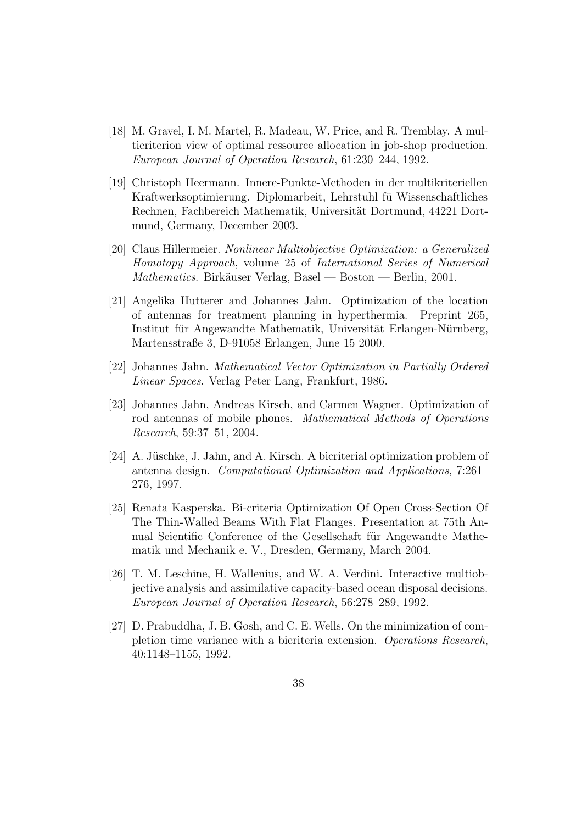- [18] M. Gravel, I. M. Martel, R. Madeau, W. Price, and R. Tremblay. A multicriterion view of optimal ressource allocation in job-shop production. European Journal of Operation Research, 61:230–244, 1992.
- [19] Christoph Heermann. Innere-Punkte-Methoden in der multikriteriellen Kraftwerksoptimierung. Diplomarbeit, Lehrstuhl fü Wissenschaftliches Rechnen, Fachbereich Mathematik, Universität Dortmund, 44221 Dortmund, Germany, December 2003.
- [20] Claus Hillermeier. Nonlinear Multiobjective Optimization: a Generalized Homotopy Approach, volume 25 of International Series of Numerical  $Mathematics. Birkäuser Verlag, Basel - Boston - Berlin, 2001.$
- [21] Angelika Hutterer and Johannes Jahn. Optimization of the location of antennas for treatment planning in hyperthermia. Preprint 265, Institut für Angewandte Mathematik, Universität Erlangen-Nürnberg, Martensstraße 3, D-91058 Erlangen, June 15 2000.
- [22] Johannes Jahn. Mathematical Vector Optimization in Partially Ordered Linear Spaces. Verlag Peter Lang, Frankfurt, 1986.
- [23] Johannes Jahn, Andreas Kirsch, and Carmen Wagner. Optimization of rod antennas of mobile phones. Mathematical Methods of Operations Research, 59:37–51, 2004.
- [24] A. Jüschke, J. Jahn, and A. Kirsch. A bicriterial optimization problem of antenna design. Computational Optimization and Applications, 7:261– 276, 1997.
- [25] Renata Kasperska. Bi-criteria Optimization Of Open Cross-Section Of The Thin-Walled Beams With Flat Flanges. Presentation at 75th Annual Scientific Conference of the Gesellschaft für Angewandte Mathematik und Mechanik e. V., Dresden, Germany, March 2004.
- [26] T. M. Leschine, H. Wallenius, and W. A. Verdini. Interactive multiobjective analysis and assimilative capacity-based ocean disposal decisions. European Journal of Operation Research, 56:278–289, 1992.
- [27] D. Prabuddha, J. B. Gosh, and C. E. Wells. On the minimization of completion time variance with a bicriteria extension. Operations Research, 40:1148–1155, 1992.